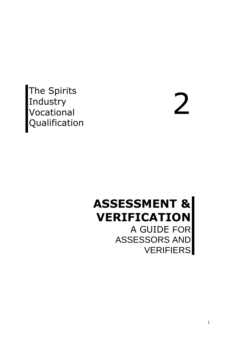The Spirits Industry Vocational **Qualification** 

2

## **ASSESSMENT & VERIFICATION** A GUIDE FOR

ASSESSORS AND VERIFIERS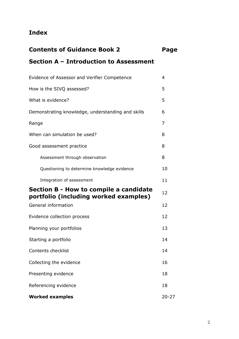### **Index**

| <b>Contents of Guidance Book 2</b>     |  |  |  |  |  |  |
|----------------------------------------|--|--|--|--|--|--|
| Section A - Introduction to Assessment |  |  |  |  |  |  |

| Evidence of Assessor and Verifier Competence                                    | 4         |  |  |  |  |  |  |  |
|---------------------------------------------------------------------------------|-----------|--|--|--|--|--|--|--|
| How is the SIVQ assessed?                                                       |           |  |  |  |  |  |  |  |
| What is evidence?                                                               | 5         |  |  |  |  |  |  |  |
| Demonstrating knowledge, understanding and skills                               |           |  |  |  |  |  |  |  |
| Range                                                                           | 7         |  |  |  |  |  |  |  |
| When can simulation be used?                                                    | 8         |  |  |  |  |  |  |  |
| Good assessment practice                                                        | 8         |  |  |  |  |  |  |  |
| Assessment through observation                                                  | 8         |  |  |  |  |  |  |  |
| Questioning to determine knowledge evidence                                     | 10        |  |  |  |  |  |  |  |
| Integration of assessment                                                       | 11        |  |  |  |  |  |  |  |
| Section B - How to compile a candidate<br>portfolio (including worked examples) | 12        |  |  |  |  |  |  |  |
| General information                                                             | 12        |  |  |  |  |  |  |  |
| Evidence collection process                                                     | 12        |  |  |  |  |  |  |  |
| Planning your portfolios                                                        | 13        |  |  |  |  |  |  |  |
| Starting a portfolio                                                            | 14        |  |  |  |  |  |  |  |
| Contents checklist                                                              | 14        |  |  |  |  |  |  |  |
| Collecting the evidence                                                         | 16        |  |  |  |  |  |  |  |
| Presenting evidence                                                             | 18        |  |  |  |  |  |  |  |
| Referencing evidence                                                            | 18        |  |  |  |  |  |  |  |
| <b>Worked examples</b>                                                          | $20 - 27$ |  |  |  |  |  |  |  |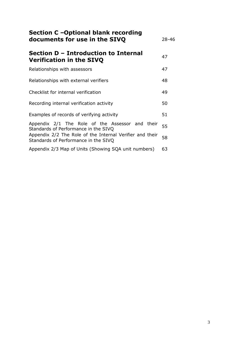| Section C -Optional blank recording<br>documents for use in the SIVQ                             |    |  |  |  |  |  |
|--------------------------------------------------------------------------------------------------|----|--|--|--|--|--|
| Section D – Introduction to Internal<br><b>Verification in the SIVQ</b>                          | 47 |  |  |  |  |  |
| Relationships with assessors                                                                     | 47 |  |  |  |  |  |
| Relationships with external verifiers                                                            | 48 |  |  |  |  |  |
| Checklist for internal verification                                                              | 49 |  |  |  |  |  |
| Recording internal verification activity                                                         | 50 |  |  |  |  |  |
| Examples of records of verifying activity                                                        | 51 |  |  |  |  |  |
| Appendix 2/1 The Role of the Assessor and their<br>Standards of Performance in the SIVQ          | 55 |  |  |  |  |  |
| Appendix 2/2 The Role of the Internal Verifier and their<br>Standards of Performance in the SIVQ | 58 |  |  |  |  |  |
| Appendix 2/3 Map of Units (Showing SQA unit numbers)                                             | 63 |  |  |  |  |  |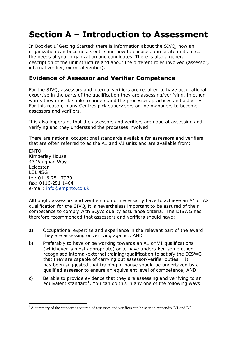## **Section A – Introduction to Assessment**

In Booklet 1 'Getting Started' there is information about the SIVQ, how an organization can become a Centre and how to choose appropriate units to suit the needs of your organization and candidates. There is also a general description of the unit structure and about the different roles involved (assessor, internal verifier, external verifier).

#### **Evidence of Assessor and Verifier Competence**

For the SIVQ, assessors and internal verifiers are required to have occupational expertise in the parts of the qualification they are assessing/verifying. In other words they must be able to understand the processes, practices and activities. For this reason, many Centres pick supervisors or line managers to become assessors and verifiers.

It is also important that the assessors and verifiers are good at assessing and verifying and they understand the processes involved!

There are national occupational standards available for assessors and verifiers that are often referred to as the A1 and V1 units and are available from:

**FNTO** Kimberley House 47 Vaughan Way Leicester LE1 4SG tel: 0116-251 7979 fax: 0116-251 1464 e-mail: [info@empnto.co.uk](mailto:info@empnto.co.uk)

Although, assessors and verifiers do not necessarily have to achieve an A1 or A2 qualification for the SIVQ, it is nevertheless important to be assured of their competence to comply with SQA's quality assurance criteria. The DISWG has therefore recommended that assessors and verifiers should have:

- a) Occupational expertise and experience in the relevant part of the award they are assessing or verifying against; AND
- b) Preferably to have or be working towards an A1 or V1 qualifications (whichever is most appropriate) or to have undertaken some other recognised internal/external training/qualification to satisfy the DISWG that they are capable of carrying out assessor/verifier duties. It has been suggested that training in-house should be undertaken by a qualified assessor to ensure an equivalent level of competence; AND
- c) Be able to provide evidence that they are assessing and verifying to an equivalent standard<sup>[1](#page-3-0)</sup>. You can do this in any one of the following ways:

<span id="page-3-0"></span><sup>&</sup>lt;sup>1</sup> A summary of the standards required of assessors and verifiers can be seen in Appendix 2/1 and 2/2.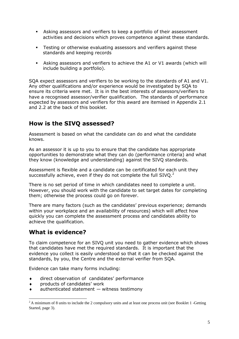- Asking assessors and verifiers to keep a portfolio of their assessment activities and decisions which proves competence against these standards.
- Testing or otherwise evaluating assessors and verifiers against these standards and keeping records
- Asking assessors and verifiers to achieve the A1 or V1 awards (which will include building a portfolio).

SQA expect assessors and verifiers to be working to the standards of A1 and V1. Any other qualifications and/or experience would be investigated by SQA to ensure its criteria were met. It is in the best interests of assessors/verifiers to have a recognised assessor/verifier qualification. The standards of performance expected by assessors and verifiers for this award are itemised in Appendix 2.1 and 2.2 at the back of this booklet.

#### **How is the SIVQ assessed?**

Assessment is based on what the candidate can do and what the candidate knows.

As an assessor it is up to you to ensure that the candidate has appropriate opportunities to demonstrate what they can do (performance criteria) and what they know (knowledge and understanding) against the SIVQ standards.

Assessment is flexible and a candidate can be certificated for each unit they successfully achieve, even if they do not complete the full  $SIVO.^2$  $SIVO.^2$ 

There is no set period of time in which candidates need to complete a unit. However, you should work with the candidate to set target dates for completing them; otherwise the process could go on forever.

There are many factors (such as the candidates' previous experience; demands within your workplace and an availability of resources) which will affect how quickly you can complete the assessment process and candidates ability to achieve the qualification.

### **What is evidence?**

To claim competence for an SIVQ unit you need to gather evidence which shows that candidates have met the required standards. It is important that the evidence you collect is easily understood so that it can be checked against the standards, by you, the Centre and the external verifier from SQA.

Evidence can take many forms including:

- direct observation of candidates' performance
- products of candidates' work
- authenticated statement witness testimony

<span id="page-4-0"></span><sup>&</sup>lt;sup>2</sup> A minimum of 8 units to include the 2 compulsory units and at least one process unit (see Booklet 1 -Getting Started, page 3).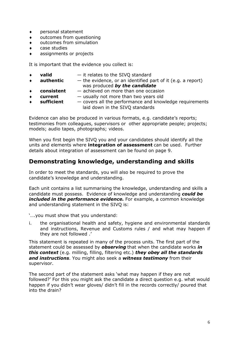- personal statement
- outcomes from questioning
- outcomes from simulation
- case studies
- assignments or projects

It is important that the evidence you collect is:

- **valid** it relates to the SIVQ standard
- **authentic** the evidence, or an identified part of it (e.g. a report) was produced *by the candidate*
- **consistent** achieved on more than one occasion
- **current** usually not more than two years old
- **sufficient** covers all the performance and knowledge requirements laid down in the SIVQ standards

Evidence can also be produced in various formats, e.g. candidate's reports; testimonies from colleagues, supervisors or other appropriate people; projects; models; audio tapes, photographs; videos.

When you first begin the SIVQ you and your candidates should identify all the units and elements where **integration of assessment** can be used. Further details about integration of assessment can be found on page 9.

#### **Demonstrating knowledge, understanding and skills**

In order to meet the standards, you will also be required to prove the candidate's knowledge and understanding.

Each unit contains a list summarising the knowledge, understanding and skills a candidate must possess. Evidence of knowledge and understanding *could be included in the performance evidence.* For example, a common knowledge and understanding statement in the SIVQ is:

'….you must show that you understand:

i. the organisational health and safety, hygiene and environmental standards and instructions, Revenue and Customs rules / and what may happen if they are not followed .'

This statement is repeated in many of the process units. The first part of the statement could be assessed by *observing* that when the candidate works *in this context* (e.g. milling, filling, filtering etc.) *they obey all the standards and instructions*. You might also seek a *witness testimony* from their supervisor.

The second part of the statement asks 'what may happen if they are not followed?' For this you might ask the candidate a direct question e.g. what would happen if you didn't wear gloves/ didn't fill in the records correctly/ poured that into the drain?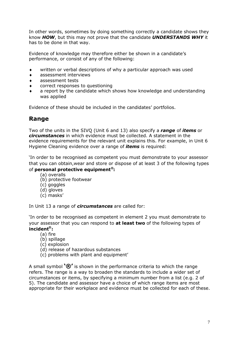In other words, sometimes by doing something correctly a candidate shows they know *HOW*, but this may not prove that the candidate *UNDERSTANDS WHY* it has to be done in that way.

Evidence of knowledge may therefore either be shown in a candidate's performance, or consist of any of the following:

- written or verbal descriptions of why a particular approach was used
- assessment interviews
- assessment tests
- correct responses to questioning
- a report by the candidate which shows how knowledge and understanding was applied

Evidence of these should be included in the candidates' portfolios.

#### **Range**

Two of the units in the SIVQ (Unit 6 and 13) also specify a *range* of *items* or *circumstances* in which evidence must be collected. A statement in the evidence requirements for the relevant unit explains this. For example, in Unit 6 Hygiene Cleaning evidence over a range of *items* is required:

'In order to be recognised as competent you must demonstrate to your assessor that you can obtain,wear and store or dispose of at least 3 of the following types of **personal protective equipment®:**

- (a) overalls
- (b) protective footwear
- (c) goggles
- (d) gloves
- (c) masks'

In Unit 13 a range of *circumstances* are called for:

'In order to be recognised as competent in element 2 you must demonstrate to your assessor that you can respond to **at least two** of the following types of **incident® :**

- (a) fire
- (b) spillage
- (c) explosion
- (d) release of hazardous substances
- (c) problems with plant and equipment'

A small symbol **'®'** is shown in the performance criteria to which the range refers. The range is a way to broaden the standards to include a wider set of circumstances or items, by specifying a minimum number from a list (e.g. 2 of 5). The candidate and assessor have a choice of which range items are most appropriate for their workplace and evidence must be collected for each of these.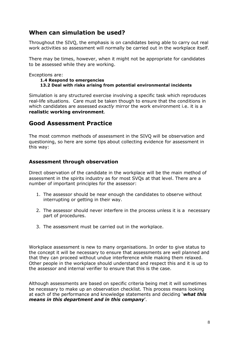#### **When can simulation be used?**

Throughout the SIVQ, the emphasis is on candidates being able to carry out real work activities so assessment will normally be carried out in the workplace itself.

There may be times, however, when it might not be appropriate for candidates to be assessed while they are working.

Exceptions are:

#### **1.4 Respond to emergencies 13.2 Deal with risks arising from potential environmental incidents**

Simulation is any structured exercise involving a specific task which reproduces real-life situations. Care must be taken though to ensure that the conditions in which candidates are assessed *exactly* mirror the work environment i.e. it is a **realistic working environment**.

#### **Good Assessment Practice**

The most common methods of assessment in the SIVQ will be observation and questioning, so here are some tips about collecting evidence for assessment in this way:

#### **Assessment through observation**

Direct observation of the candidate in the workplace will be the main method of assessment in the spirits industry as for most SVQs at that level. There are a number of important principles for the assessor:

- 1. The assessor should be near enough the candidates to observe without interrupting or getting in their way.
- 2. The assessor should never interfere in the process unless it is a necessary part of procedures.
- 3. The assessment must be carried out in the workplace.

Workplace assessment is new to many organisations. In order to give status to the concept it will be necessary to ensure that assessments are well planned and that they can proceed without undue interference while making them relaxed. Other people in the workplace should understand and respect this and it is up to the assessor and internal verifier to ensure that this is the case.

Although assessments are based on specific criteria being met it will sometimes be necessary to make up an observation checklist. This process means looking at each of the performance and knowledge statements and deciding '*what this means in this department and in this company*'.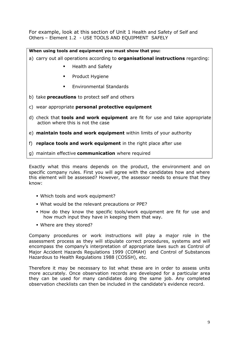For example, look at this section of Unit 1 Health and Safety of Self and Others – Element 1.2 - USE TOOLS AND EQUIPMENT SAFELY

#### **When using tools and equipment you must show that you:**

- a) carry out all operations according to **organisational instructions** regarding:
	- **Health and Safety**
	- **•** Product Hygiene
	- Environmental Standards
- b) take **precautions** to protect self and others
- c) wear appropriate **personal protective equipment**
- d) check that **tools and work equipment** are fit for use and take appropriate action where this is not the case
- e) **maintain tools and work equipment** within limits of your authority
- f) **replace tools and work equipment** in the right place after use
- g) maintain effective **communication** where required

Exactly what this means depends on the product, the environment and on specific company rules. First you will agree with the candidates how and where this element will be assessed? However, the assessor needs to ensure that they know:

- Which tools and work equipment?
- What would be the relevant precautions or PPE?
- How do they know the specific tools/work equipment are fit for use and how much input they have in keeping them that way.
- Where are they stored?

Company procedures or work instructions will play a major role in the assessment process as they will stipulate correct procedures, systems and will encompass the company's interpretation of appropriate laws such as Control of Major Accident Hazards Regulations 1999 (COMAH) and Control of Substances Hazardous to Health Regulations 1988 (COSSH), etc.

Therefore it may be necessary to list what these are in order to assess units more accurately. Once observation records are developed for a particular area they can be used for many candidates doing the same job. Any completed observation checklists can then be included in the candidate's evidence record.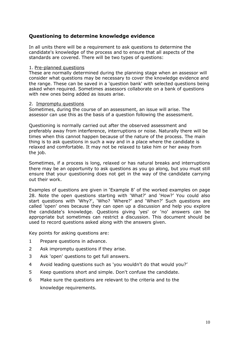#### **Questioning to determine knowledge evidence**

In all units there will be a requirement to ask questions to determine the candidate's knowledge of the process and to ensure that all aspects of the standards are covered. There will be two types of questions:

#### 1. Pre-planned questions

These are normally determined during the planning stage when an assessor will consider what questions may be necessary to cover the knowledge evidence and the range. These can be saved in a 'question bank' with selected questions being asked when required. Sometimes assessors collaborate on a bank of questions with new ones being added as issues arise.

#### 2. Impromptu questions

Sometimes, during the course of an assessment, an issue will arise. The assessor can use this as the basis of a question following the assessment.

Questioning is normally carried out after the observed assessment and preferably away from interference, interruptions or noise. Naturally there will be times when this cannot happen because of the nature of the process. The main thing is to ask questions in such a way and in a place where the candidate is relaxed and comfortable. It may not be relaxed to take him or her away from the job.

Sometimes, if a process is long, relaxed or has natural breaks and interruptions there may be an opportunity to ask questions as you go along, but you must still ensure that your questioning does not get in the way of the candidate carrying out their work.

Examples of questions are given in 'Example 8' of the worked examples on page 28. Note the open questions starting with 'What?' and 'How?' You could also start questions with 'Why?', 'Who? 'Where?' and 'When?' Such questions are called 'open' ones because they can open up a discussion and help you explore the candidate's knowledge. Questions giving 'yes' or 'no' answers can be appropriate but sometimes can restrict a discussion. This document should be used to record questions asked along with the answers given.

Key points for asking questions are:

- 1 Prepare questions in advance.
- 2 Ask impromptu questions if they arise.
- 3 Ask 'open' questions to get full answers.
- 4 Avoid leading questions such as 'you wouldn't do that would you?'
- 5 Keep questions short and simple. Don't confuse the candidate.
- 6 Make sure the questions are relevant to the criteria and to the knowledge requirements.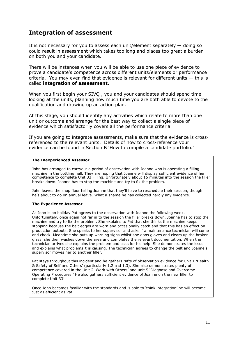#### **Integration of assessment**

It is not necessary for you to assess each unit/element separately  $-$  doing so could result in assessment which takes too long and places too great a burden on both you and your candidate.

There will be instances when you will be able to use one piece of evidence to prove a candidate's competence across different units/elements or performance criteria. You may even find that evidence is relevant for different units — this is called **integration of assessment**.

When you first begin your SIVQ , you and your candidates should spend time looking at the units, planning how much time you are both able to devote to the qualification and drawing up an action plan.

At this stage, you should identify any activities which relate to more than one unit or outcome and arrange for the best way to collect a single piece of evidence which satisfactorily covers all the performance criteria.

If you are going to integrate assessments, make sure that the evidence is crossreferenced to the relevant units. Details of how to cross-reference your evidence can be found in Section B 'How to compile a candidate portfolio.'

#### **The Inexperienced Assessor**

John has arranged to carryout a period of observation with Joanne who is operating a filling machine in the bottling hall. They are hoping that Joanne will display sufficient evidence of her competence to complete Unit 33 Filling. Unfortunately about 15 minutes into the session the filler breaks down. Joanne has to stop the machine and try to fix the problem.

John leaves the shop floor telling Joanne that they'll have to reschedule their session, though he's about to go on annual leave. What a shame he has collected hardly any evidence.

#### **The Experience Assessor**

As John is on holiday Pat agrees to the observation with Joanne the following week. Unfortunately, once again not far in to the session the filler breaks down. Joanne has to stop the machine and try to fix the problem. She explains to Pat that she thinks the machine keeps stopping because the belt edges are worn and occasionally catch and that this has an effect on production outputs. She speaks to her supervisor and asks if a maintenance technician will come and check. Meantime she puts up warning signs whilst she dons gloves and clears up the broken glass, she then washes down the area and completes the relevant documentation. When the technician arrives she explains the problem and asks for his help. She demonstrates the issue and explains what problems it is causing. The technician agrees to change the belt and Joanne's supervisor moves her to another filler.

Pat stays throughout this incident and he gathers rafts of observation evidence for Unit 1 'Health & Safety of Self and Others' (particularly 1.2 and 1.3). She also demonstrates plenty of competence covered in the Unit 2 'Work with Others' and unit 5 'Diagnose and Overcome Operating Procedures.' He also gathers sufficient evidence of Joanne on the new filler to complete Unit 33!

Once John becomes familiar with the standards and is able to 'think integration' he will become just as efficient as Pat.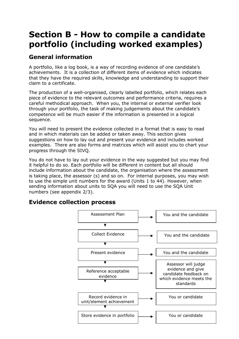## **Section B - How to compile a candidate portfolio (including worked examples)**

### **General information**

A portfolio, like a log book, is a way of recording evidence of one candidate's achievements. It is a collection of different items of evidence which indicates that they have the required skills, knowledge and understanding to support their claim to a certificate.

The production of a well-organised, clearly labelled portfolio, which relates each piece of evidence to the relevant outcomes and performance criteria, requires a careful methodical approach. When you, the internal or external verifier look through your portfolio, the task of making judgements about the candidate's competence will be much easier if the information is presented in a logical sequence.

You will need to present the evidence collected in a format that is easy to read and in which materials can be added or taken away. This section gives suggestions on how to lay out and present your evidence and includes worked examples. There are also forms and matrices which will assist you to chart your progress through the SIVQ.

You do not have to lay out your evidence in the way suggested but you may find it helpful to do so. Each portfolio will be different in content but all should include information about the candidate, the organisation where the assessment is taking place, the assessor (s) and so on. For internal purposes, you may wish to use the simple unit numbers for the award (Units 1 to 44). However, when sending information about units to SQA you will need to use the SQA Unit numbers (see appendix 2/3).

### **Evidence collection process**

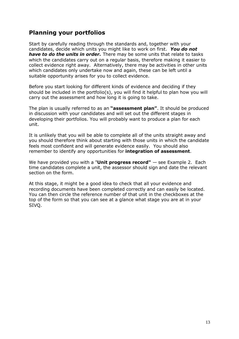### **Planning your portfolios**

Start by carefully reading through the standards and, together with your candidates, decide which units you might like to work on first. *You do not have to do the units in order.* There may be some units that relate to tasks which the candidates carry out on a regular basis, therefore making it easier to collect evidence right away. Alternatively, there may be activities in other units which candidates only undertake now and again, these can be left until a suitable opportunity arises for you to collect evidence.

Before you start looking for different kinds of evidence and deciding if they should be included in the portfolio(s), you will find it helpful to plan how you will carry out the assessment and how long it is going to take.

The plan is usually referred to as an **"assessment plan"**. It should be produced in discussion with your candidates and will set out the different stages in developing their portfolios. You will probably want to produce a plan for each unit.

It is unlikely that you will be able to complete all of the units straight away and you should therefore think about starting with those units in which the candidate feels most confident and will generate evidence easily. You should also remember to identify any opportunities for **integration of assessment**.

We have provided you with a "**Unit progress record"** — see Example 2. Each time candidates complete a unit, the assessor should sign and date the relevant section on the form.

At this stage, it might be a good idea to check that all your evidence and recording documents have been completed correctly and can easily be located. You can then circle the reference number of that unit in the checkboxes at the top of the form so that you can see at a glance what stage you are at in your SIVQ.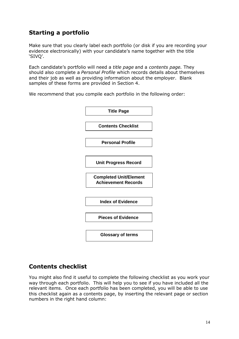### **Starting a portfolio**

Make sure that you clearly label each portfolio (or disk if you are recording your evidence electronically) with your candidate's name together with the title 'SIVQ'.

Each candidate's portfolio will need a *title page* and a *contents page.* They should also complete a *Personal Profile* which records details about themselves and their job as well as providing information about the employer. Blank samples of these forms are provided in Section 4.

We recommend that you compile each portfolio in the following order:



#### **Contents checklist**

You might also find it useful to complete the following checklist as you work your way through each portfolio. This will help you to see if you have included all the relevant items. Once each portfolio has been completed, you will be able to use this checklist again as a contents page, by inserting the relevant page or section numbers in the right hand column: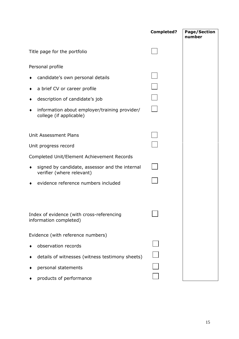|                                                                             | <b>Completed?</b> | <b>Page/Section</b><br>number |
|-----------------------------------------------------------------------------|-------------------|-------------------------------|
| Title page for the portfolio                                                |                   |                               |
| Personal profile                                                            |                   |                               |
| candidate's own personal details                                            |                   |                               |
| a brief CV or career profile                                                |                   |                               |
| description of candidate's job                                              |                   |                               |
| information about employer/training provider/<br>college (if applicable)    |                   |                               |
|                                                                             |                   |                               |
| Unit Assessment Plans                                                       |                   |                               |
| Unit progress record                                                        |                   |                               |
| Completed Unit/Element Achievement Records                                  |                   |                               |
| signed by candidate, assessor and the internal<br>verifier (where relevant) |                   |                               |
| evidence reference numbers included                                         |                   |                               |
|                                                                             |                   |                               |
| Index of evidence (with cross-referencing<br>information completed)         |                   |                               |
| Evidence (with reference numbers)                                           |                   |                               |
| observation records                                                         |                   |                               |
| details of witnesses (witness testimony sheets)                             |                   |                               |
| personal statements                                                         |                   |                               |
| products of performance                                                     |                   |                               |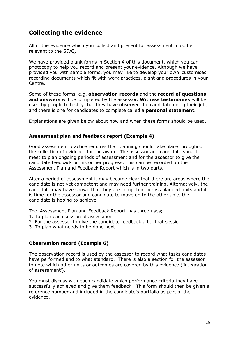### **Collecting the evidence**

All of the evidence which you collect and present for assessment must be relevant to the SIVQ.

We have provided blank forms in Section 4 of this document, which you can photocopy to help you record and present your evidence. Although we have provided you with sample forms, you may like to develop your own 'customised' recording documents which fit with work practices, plant and procedures in your Centre.

Some of these forms, e.g. **observation records** and the **record of questions and answers** will be completed by the assessor. **Witness testimonies** will be used by people to testify that they have observed the candidate doing their job, and there is one for candidates to complete called a **personal statement**.

Explanations are given below about how and when these forms should be used.

#### **Assessment plan and feedback report (Example 4)**

Good assessment practice requires that planning should take place throughout the collection of evidence for the award. The assessor and candidate should meet to plan ongoing periods of assessment and for the assessor to give the candidate feedback on his or her progress. This can be recorded on the Assessment Plan and Feedback Report which is in two parts.

After a period of assessment it may become clear that there are areas where the candidate is not yet competent and may need further training. Alternatively, the candidate may have shown that they are competent across planned units and it is time for the assessor and candidate to move on to the other units the candidate is hoping to achieve.

The 'Assessment Plan and Feedback Report' has three uses;

- 1. To plan each session of assessment
- 2. For the assessor to give the candidate feedback after that session
- 3. To plan what needs to be done next

#### **Observation record (Example 6)**

The observation record is used by the assessor to record what tasks candidates have performed and to what standard. There is also a section for the assessor to note which other units or outcomes are covered by this evidence ('integration of assessment').

You must discuss with each candidate which performance criteria they have successfully achieved and give them feedback. This form should then be given a reference number and included in the candidate's portfolio as part of the evidence.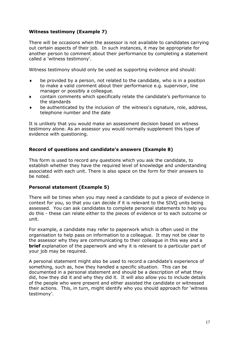#### **Witness testimony (Example 7)**

There will be occasions when the assessor is not available to candidates carrying out certain aspects of their job. In such instances, it may be appropriate for another person to comment about their performance by completing a statement called a 'witness testimony'.

Witness testimony should only be used as supporting evidence and should:

- be provided by a person, not related to the candidate, who is in a position to make a valid comment about their performance e.g. supervisor, line manager or possibly a colleague.
- contain comments which specifically relate the candidate's performance to the standards
- be authenticated by the inclusion of the witness's signature, role, address, telephone number and the date

It is unlikely that you would make an assessment decision based on witness testimony alone. As an assessor you would normally supplement this type of evidence with questioning.

#### **Record of questions and candidate's answers (Example 8)**

This form is used to record any questions which you ask the candidate, to establish whether they have the required level of knowledge and understanding associated with each unit. There is also space on the form for their answers to be noted.

#### **Personal statement (Example 5)**

There will be times when you may need a candidate to put a piece of evidence in context for you, so that you can decide if it is relevant to the SIVQ units being assessed. You can ask candidates to complete personal statements to help you do this - these can relate either to the pieces of evidence or to each outcome or unit.

For example, a candidate may refer to paperwork which is often used in the organisation to help pass on information to a colleague. It may not be clear to the assessor why they are communicating to their colleague in this way and a **brief** explanation of the paperwork and why it is relevant to a particular part of your job may be required.

A personal statement might also be used to record a candidate's experience of something, such as, how they handled a specific situation. This can be documented in a personal statement and should be a description of what they did, how they did it and why they did it. It will also allow you to include details of the people who were present and either assisted the candidate or witnessed their actions. This, in turn, might identify who you should approach for 'witness testimony'.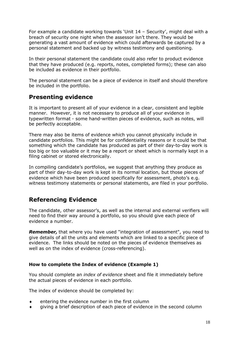For example a candidate working towards 'Unit 14 – Security', might deal with a breach of security one night when the assessor isn't there. They would be generating a vast amount of evidence which could afterwards be captured by a personal statement and backed up by witness testimony and questioning.

In their personal statement the candidate could also refer to product evidence that they have produced (e.g. reports, notes, completed forms); these can also be included as evidence in their portfolio.

The personal statement can be a piece of evidence in itself and should therefore be included in the portfolio.

### **Presenting evidence**

It is important to present all of your evidence in a clear, consistent and legible manner. However, it is not necessary to produce all of your evidence in typewritten format - some hand-written pieces of evidence, such as notes, will be perfectly acceptable.

There may also be items of evidence which you cannot physically include in candidate portfolios. This might be for confidentiality reasons or it could be that something which the candidate has produced as part of their day-to-day work is too big or too valuable or it may be a report or sheet which is normally kept in a filing cabinet or stored electronically.

In compiling candidate's portfolios, we suggest that anything they produce as part of their day-to-day work is kept in its normal location, but those pieces of evidence which have been produced specifically for assessment, photo's e.g. witness testimony statements or personal statements, are filed in your portfolio.

### **Referencing Evidence**

The candidate, other assessor's, as well as the internal and external verifiers will need to find their way around a portfolio, so you should give each piece of evidence a number.

*Remember,* that where you have used "integration of assessment", you need to give details of all the units and elements which are linked to a specific piece of evidence. The links should be noted on the pieces of evidence themselves as well as on the index of evidence (cross-referencing).

#### **How to complete the Index of evidence (Example 1)**

You should complete an *index of evidence* sheet and file it immediately before the actual pieces of evidence in each portfolio.

The index of evidence should be completed by:

- entering the evidence number in the first column
- giving a brief description of each piece of evidence in the second column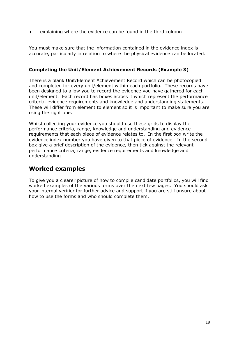$\bullet$  explaining where the evidence can be found in the third column

You must make sure that the information contained in the evidence index is accurate, particularly in relation to where the physical evidence can be located.

#### **Completing the Unit/Element Achievement Records (Example 3)**

There is a blank Unit/Element Achievement Record which can be photocopied and completed for every unit/element within each portfolio. These records have been designed to allow you to record the evidence you have gathered for each unit/element. Each record has boxes across it which represent the performance criteria, evidence requirements and knowledge and understanding statements. These will differ from element to element so it is important to make sure you are using the right one.

Whilst collecting your evidence you should use these grids to display the performance criteria, range, knowledge and understanding and evidence requirements that each piece of evidence relates to. In the first box write the evidence index number you have given to that piece of evidence. In the second box give a brief description of the evidence, then tick against the relevant performance criteria, range, evidence requirements and knowledge and understanding.

#### **Worked examples**

To give you a clearer picture of how to compile candidate portfolios, you will find worked examples of the various forms over the next few pages. You should ask your internal verifier for further advice and support if you are still unsure about how to use the forms and who should complete them.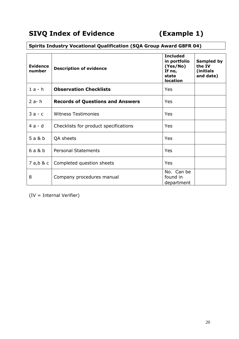### **Spirits Industry Vocational Qualification (SQA Group Award G8FR 04)**

| Evidence<br>number | <b>Description of evidence</b>          | Sampled by<br>the IV<br>(initials)<br>and date) |  |
|--------------------|-----------------------------------------|-------------------------------------------------|--|
| $1a-h$             | <b>Observation Checklists</b>           | Yes                                             |  |
| $2a-h$             | <b>Records of Questions and Answers</b> | Yes                                             |  |
| $3a - c$           | <b>Witness Testimonies</b>              | Yes                                             |  |
| $4a-d$             | Checklists for product specifications   | Yes                                             |  |
| 5 a & b            | QA sheets                               | Yes                                             |  |
| 6a&b               | <b>Personal Statements</b>              | Yes                                             |  |
| 7 a,b & c          | Completed question sheets               | Yes                                             |  |
| 8                  | Company procedures manual               | No. Can be<br>found in<br>department            |  |

(IV = Internal Verifier)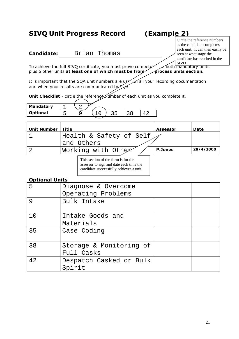### **SIVQ Unit Progress Record (Example 2)**

**Candidate:** Brian Thomas

Circle the reference numbers as the candidate completes each unit. It can then easily be seen at what stage the candidate has reached in the **SIVO** 

To achieve the full SIVQ certificate, you must prove competer of both mandatory units plus 6 other units at least one of which must be from process units section.

It is important that the SQA unit numbers are used in all your recording documentation and when your results are communicated to  $\mathcal{A}$ .

**Unit Checklist** - circle the reference number of each unit as you complete it.

| <b>Mandatory</b> |  |  |  |
|------------------|--|--|--|
| <b>Optional</b>  |  |  |  |
|                  |  |  |  |

| <b>Unit Number</b> | Title                              | <b>Assessor</b> | Date      |
|--------------------|------------------------------------|-----------------|-----------|
|                    | Health & Safety of Self $\swarrow$ |                 |           |
|                    | and Others                         |                 |           |
|                    | Working with Othe                  | <b>P.Jones</b>  | 28/4/2000 |
|                    |                                    |                 |           |

This section of the form is for the assessor to sign and date each time the candidate successfully achieves a unit.

#### **Optional Units**

| 5  | Diagnose & Overcome<br>Operating Problems |  |
|----|-------------------------------------------|--|
| 9  | Bulk Intake                               |  |
| 10 | Intake Goods and<br>Materials             |  |
| 35 | Case Coding                               |  |
| 38 | Storage & Monitoring of<br>Full Casks     |  |
| 42 | Despatch Casked or Bulk<br>Spirit         |  |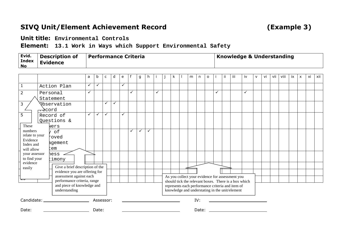### **SIVQ Unit/Element Achievement Record (Example 3)**

**Unit title: Environmental Controls**

**Element: 13.1 Work in Ways which Support Environmental Safety**

| Evid.<br><b>Index</b><br>No | Description of<br><sup>l</sup> Evidence | Performance Criteria | <b>Knowledge &amp; Understanding</b> |
|-----------------------------|-----------------------------------------|----------------------|--------------------------------------|
|-----------------------------|-----------------------------------------|----------------------|--------------------------------------|

|                               |                    |                                                        | a            | b            | c | d | e |   | g | h.           |                                                                                                    | j | k. |  | m | n     | $\circ$ |              | ji | iii                                                                                                     | iv           | $\mathsf{v}$ | vi | vii | viii | ix | $\boldsymbol{\mathsf{x}}$ | xi | xii |
|-------------------------------|--------------------|--------------------------------------------------------|--------------|--------------|---|---|---|---|---|--------------|----------------------------------------------------------------------------------------------------|---|----|--|---|-------|---------|--------------|----|---------------------------------------------------------------------------------------------------------|--------------|--------------|----|-----|------|----|---------------------------|----|-----|
| $\mathbf{1}$                  |                    | Action Plan                                            | $\checkmark$ | $\checkmark$ |   |   | ✓ |   |   |              |                                                                                                    |   |    |  |   |       |         |              |    |                                                                                                         |              |              |    |     |      |    |                           |    |     |
| $\overline{2}$                | Personal           |                                                        | $\checkmark$ |              |   |   |   | ✓ |   |              | $\checkmark$                                                                                       |   |    |  |   |       |         | $\checkmark$ |    |                                                                                                         | $\checkmark$ |              |    |     |      |    |                           |    |     |
|                               |                    | Statement                                              |              |              |   |   |   |   |   |              |                                                                                                    |   |    |  |   |       |         |              |    |                                                                                                         |              |              |    |     |      |    |                           |    |     |
| 3                             |                    | <b>Observation</b>                                     |              |              |   |   |   |   |   |              |                                                                                                    |   |    |  |   |       |         |              |    |                                                                                                         |              |              |    |     |      |    |                           |    |     |
|                               | $\rightarrow$ cord |                                                        |              |              |   |   |   |   |   |              |                                                                                                    |   |    |  |   |       |         |              |    |                                                                                                         |              |              |    |     |      |    |                           |    |     |
| 5                             |                    | Record of                                              | ✓            |              |   |   | ✓ |   |   |              |                                                                                                    |   |    |  |   |       |         |              |    |                                                                                                         |              |              |    |     |      |    |                           |    |     |
|                               |                    | Questions &                                            |              |              |   |   |   |   |   |              |                                                                                                    |   |    |  |   |       |         |              |    |                                                                                                         |              |              |    |     |      |    |                           |    |     |
| These                         |                    | Wers                                                   |              |              |   |   |   |   |   |              |                                                                                                    |   |    |  |   |       |         |              |    |                                                                                                         |              |              |    |     |      |    |                           |    |     |
| numbers<br>relate to your     |                    | of                                                     |              |              |   |   |   | ✓ | ✓ | $\checkmark$ |                                                                                                    |   |    |  |   |       |         |              |    |                                                                                                         |              |              |    |     |      |    |                           |    |     |
| Evidence                      |                    | þoved                                                  |              |              |   |   |   |   |   |              |                                                                                                    |   |    |  |   |       |         |              |    |                                                                                                         |              |              |    |     |      |    |                           |    |     |
| Index and                     |                    | <b>agement</b>                                         |              |              |   |   |   |   |   |              |                                                                                                    |   |    |  |   |       |         |              |    |                                                                                                         |              |              |    |     |      |    |                           |    |     |
| will allow                    |                    | em                                                     |              |              |   |   |   |   |   |              |                                                                                                    |   |    |  |   |       |         |              |    |                                                                                                         |              |              |    |     |      |    |                           |    |     |
| your assessor<br>to find your |                    | hess                                                   |              |              |   |   |   |   |   |              |                                                                                                    |   |    |  |   |       |         |              |    |                                                                                                         |              |              |    |     |      |    |                           |    |     |
| evidence                      |                    | timony                                                 |              |              |   |   |   |   |   |              |                                                                                                    |   |    |  |   |       |         |              |    |                                                                                                         |              |              |    |     |      |    |                           |    |     |
| easily                        |                    | Give a brief description of the                        |              |              |   |   |   |   |   |              |                                                                                                    |   |    |  |   |       |         |              |    |                                                                                                         |              |              |    |     |      |    |                           |    |     |
|                               |                    | evidence you are offering for                          |              |              |   |   |   |   |   |              |                                                                                                    |   |    |  |   |       |         |              |    |                                                                                                         |              |              |    |     |      |    |                           |    |     |
|                               |                    | assessment against each<br>performance criteria, range |              |              |   |   |   |   |   |              |                                                                                                    |   |    |  |   |       |         |              |    | As you collect your evidence for assessment you<br>should tick the relevant boxes. There is a box which |              |              |    |     |      |    |                           |    |     |
|                               |                    | and piece of knowledge and                             |              |              |   |   |   |   |   |              |                                                                                                    |   |    |  |   |       |         |              |    |                                                                                                         |              |              |    |     |      |    |                           |    |     |
|                               |                    | understanding                                          |              |              |   |   |   |   |   |              | represents each performance criteria and item of<br>knowledge and understating in the unit/element |   |    |  |   |       |         |              |    |                                                                                                         |              |              |    |     |      |    |                           |    |     |
|                               |                    | Candidate: _______________________                     |              | Assessor:    |   |   |   |   |   |              |                                                                                                    |   |    |  |   | IV:   |         |              |    |                                                                                                         |              |              |    |     |      |    |                           |    |     |
| Date:                         |                    |                                                        |              | Date:        |   |   |   |   |   |              |                                                                                                    |   |    |  |   | Date: |         |              |    |                                                                                                         |              |              |    |     |      |    |                           |    |     |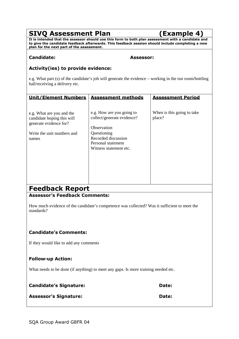### **SIVQ Assessment Plan (Example 4)**

**It is intended that the assessor should use this form to both plan assessment with a candidate and to give the candidate feedback afterwards. This feedback session should include completing a new plan for the next part of the assessment.**

#### **Candidate: Assessor:**

#### **Activity(ies) to provide evidence:**

e.g. What part (s) of the candidate's job will generate the evidence – working in the tun room/bottling hall/receiving a delivery etc.

| <b>Unit/Element Numbers</b>                                                                                              | <b>Assessment methods</b>                                                                                                                                    | <b>Assessment Period</b>             |
|--------------------------------------------------------------------------------------------------------------------------|--------------------------------------------------------------------------------------------------------------------------------------------------------------|--------------------------------------|
| e.g. What are you and the<br>candidate hoping this will<br>generate evidence for?<br>Write the unit numbers and<br>names | e.g. How are you going to<br>collect/generate evidence?<br>Observation<br>Questioning<br>Recorded discussion<br>Personal statement<br>Witness statement etc. | When is this going to take<br>place? |
| <b>Feedback Report</b>                                                                                                   |                                                                                                                                                              |                                      |

#### **Assessor's Feedback Comments:**

How much evidence of the candidate's competence was collected? Was it sufficient to meet the standards?

#### **Candidate's Comments:**

If they would like to add any comments

#### **Follow-up Action:**

What needs to be done (if anything) to meet any gaps. Is more training needed etc.

| <b>Candidate's Signature:</b> | Date: |
|-------------------------------|-------|
| <b>Assessor's Signature:</b>  | Date: |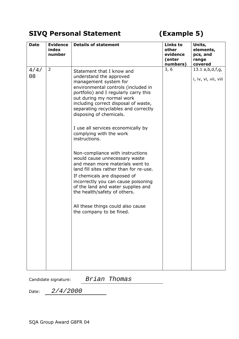### **SIVQ Personal Statement (Example 5)**

| <b>Date</b> | <b>Evidence</b><br>index<br>number | <b>Details of statement</b>                                                                                                                                                                                                                                                                                                                                                                                                                                                                                                                                                                                                                                                                                                                              | <b>Links to</b><br>other<br>evidence<br>(enter<br>numbers) | Units,<br>elements,<br>pcs, and<br>range<br>covered |
|-------------|------------------------------------|----------------------------------------------------------------------------------------------------------------------------------------------------------------------------------------------------------------------------------------------------------------------------------------------------------------------------------------------------------------------------------------------------------------------------------------------------------------------------------------------------------------------------------------------------------------------------------------------------------------------------------------------------------------------------------------------------------------------------------------------------------|------------------------------------------------------------|-----------------------------------------------------|
| 4/4/<br>08  | $\overline{2}$                     | Statement that I know and<br>understand the approved<br>management system for<br>environmental controls (included in<br>portfolio) and I regularly carry this<br>out during my normal work<br>including correct disposal of waste,<br>separating recyclables and correctly<br>disposing of chemicals.<br>I use all services economically by<br>complying with the work<br>instructions.<br>Non-compliance with instructions<br>would cause unnecessary waste<br>and mean more materials went to<br>land fill sites rather than for re-use.<br>If chemicals are disposed of<br>incorrectly you can cause poisoning<br>of the land and water supplies and<br>the health/safety of others.<br>All these things could also cause<br>the company to be fined. | 3, 6                                                       | 13.1 a,b,d,f,g,<br>i, iv, vi, vii, viii             |

Candidate signature: *Brian Thomas*

Date: *2/4/2000*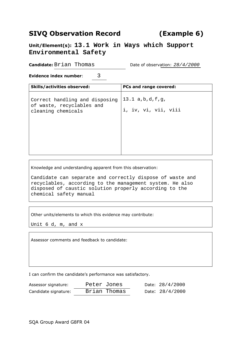### **SIVQ Observation Record (Example 6)**

**Unit/Element(s): 13.1 Work in Ways which Support Environmental Safety**

**Candidate:** Brian Thomas Date of observation:  $28/4/2000$ 

**Evidence index number:** 3

| <b>Skills/activities observed:</b>                                                | <b>PCs and range covered:</b>           |
|-----------------------------------------------------------------------------------|-----------------------------------------|
| Correct handling and disposing<br>of waste, recyclables and<br>cleaning chemicals | 13.1 a,b,d,f,g,<br>i, iv, vi, vii, viii |

Knowledge and understanding apparent from this observation:

Candidate can separate and correctly dispose of waste and recyclables, according to the management system. He also disposed of caustic solution properly according to the chemical safety manual

Other units/elements to which this evidence may contribute:

Unit 6 d, m, and x

Assessor comments and feedback to candidate:

I can confirm the candidate's performance was satisfactory.

| Assessor signature:  | Peter Jones  | Date: 28/4/2000   |
|----------------------|--------------|-------------------|
| Candidate signature: | Brian Thomas | Date: $28/4/2000$ |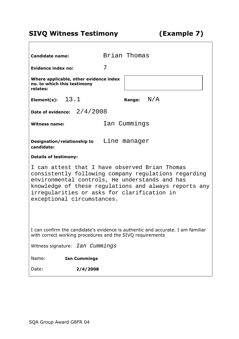## **SIVQ Witness Testimony (Example 7)**

 $\Box$ 

| <b>Candidate name:</b>                                                                                                                                                                                                                                                                         | Brian Thomas                  |  |  |  |  |  |  |
|------------------------------------------------------------------------------------------------------------------------------------------------------------------------------------------------------------------------------------------------------------------------------------------------|-------------------------------|--|--|--|--|--|--|
| Evidence index no:                                                                                                                                                                                                                                                                             | 7                             |  |  |  |  |  |  |
| Where applicable, other evidence index<br>no. to which this testimony<br>relates:                                                                                                                                                                                                              |                               |  |  |  |  |  |  |
| Element(s): $13.1$                                                                                                                                                                                                                                                                             | $\,$ N $/$ A<br><b>Range:</b> |  |  |  |  |  |  |
| Date of evidence: $2/4/2008$                                                                                                                                                                                                                                                                   |                               |  |  |  |  |  |  |
| <b>Witness name:</b>                                                                                                                                                                                                                                                                           | Ian Cummings                  |  |  |  |  |  |  |
| Designation/relationship to Line manager<br>candidate:                                                                                                                                                                                                                                         |                               |  |  |  |  |  |  |
| <b>Details of testimony:</b>                                                                                                                                                                                                                                                                   |                               |  |  |  |  |  |  |
| I can attest that I have observed Brian Thomas<br>consistently following company regulations regarding<br>environmental controls, He understands and has<br>knowledge of these regulations and always reports any<br>irregularities or asks for clarification in<br>exceptional circumstances. |                               |  |  |  |  |  |  |
| I can confirm the candidate's evidence is authentic and accurate. I am familiar<br>with correct working procedures and the SIVQ requirements                                                                                                                                                   |                               |  |  |  |  |  |  |
| Witness signature: <i>Ian Cummings</i>                                                                                                                                                                                                                                                         |                               |  |  |  |  |  |  |
| Name:<br><b>Ian Cummings</b>                                                                                                                                                                                                                                                                   |                               |  |  |  |  |  |  |
| Date:<br>2/4/2008                                                                                                                                                                                                                                                                              |                               |  |  |  |  |  |  |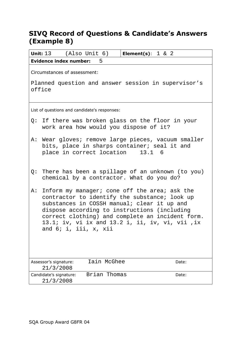### **SIVQ Record of Questions & Candidate's Answers (Example 8)**

| <b>Unit:</b> $13$ (Also Unit $6$ )<br><b>Element(s)</b> : $1 \& 2$                                                                                                                                                                                                                                                                  |
|-------------------------------------------------------------------------------------------------------------------------------------------------------------------------------------------------------------------------------------------------------------------------------------------------------------------------------------|
| <b>Evidence index number:</b><br>5                                                                                                                                                                                                                                                                                                  |
| Circumstances of assessment:                                                                                                                                                                                                                                                                                                        |
| Planned question and answer session in supervisor's<br>office                                                                                                                                                                                                                                                                       |
| List of questions and candidate's responses:                                                                                                                                                                                                                                                                                        |
| Q: If there was broken glass on the floor in your<br>work area how would you dispose of it?                                                                                                                                                                                                                                         |
| A: Wear gloves; remove large pieces, vacuum smaller<br>bits, place in sharps container; seal it and<br>place in correct location<br>$13.1\quad 6$                                                                                                                                                                                   |
| There has been a spillage of an unknown (to you)<br>Q:<br>chemical by a contractor. What do you do?                                                                                                                                                                                                                                 |
| Inform my manager; cone off the area; ask the<br>A:<br>contractor to identify the substance; look up<br>substances in COSSH manual; clear it up and<br>dispose according to instructions (including<br>correct clothing) and complete an incident form.<br>13.1; iv, vi ix and 13.2 i, ii, iv, vi, vii ,ix<br>and 6; i, iii, x, xii |
| Iain McGhee<br>Assessor's signature:<br>Date:<br>21/3/2008                                                                                                                                                                                                                                                                          |
| Brian Thomas<br>Candidate's signature:<br>Date:<br>21/3/2008                                                                                                                                                                                                                                                                        |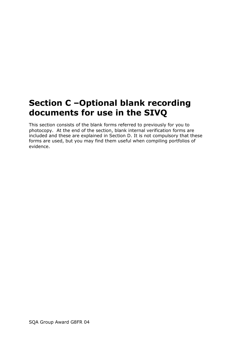## **Section C –Optional blank recording documents for use in the SIVQ**

This section consists of the blank forms referred to previously for you to photocopy. At the end of the section, blank internal verification forms are included and these are explained in Section D. It is not compulsory that these forms are used, but you may find them useful when compiling portfolios of evidence.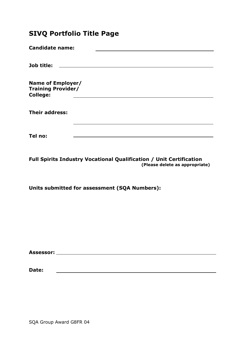### **SIVQ Portfolio Title Page**

| <b>Candidate name:</b>                                            |                                                    |
|-------------------------------------------------------------------|----------------------------------------------------|
|                                                                   |                                                    |
| Job title:                                                        | <u> 1989 - John Stein, Amerikaansk politiker (</u> |
| Name of Employer/<br><b>Training Provider/</b><br><b>College:</b> |                                                    |
|                                                                   |                                                    |
| <b>Their address:</b>                                             |                                                    |
|                                                                   |                                                    |
| Tel no:                                                           |                                                    |
|                                                                   |                                                    |

**Full Spirits Industry Vocational Qualification / Unit Certification (Please delete as appropriate)**

**Units submitted for assessment (SQA Numbers):**

| <b>Assessor:</b> |  |
|------------------|--|
|                  |  |

**Date:**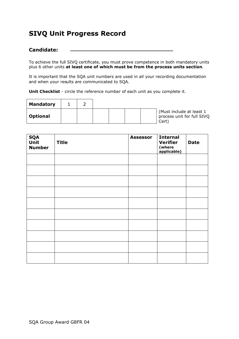### **SIVQ Unit Progress Record**

#### **Candidate:**

To achieve the full SIVQ certificate, you must prove competence in both mandatory units plus 6 other units **at least one of which must be from the process units section**.

It is important that the SQA unit numbers are used in all your recording documentation and when your results are communicated to SQA.

**Unit Checklist** - circle the reference number of each unit as you complete it.

| <b>Mandatory</b> |  |                                                                |
|------------------|--|----------------------------------------------------------------|
| <b>Optional</b>  |  | (Must include at least 1<br>process unit for full SIVQ<br>Cert |

| <b>SQA</b><br>Unit<br><b>Number</b> | <b>Title</b> | <b>Assessor</b> | <b>Internal</b><br><b>Verifier</b><br>(where<br>applicable) | <b>Date</b> |
|-------------------------------------|--------------|-----------------|-------------------------------------------------------------|-------------|
|                                     |              |                 |                                                             |             |
|                                     |              |                 |                                                             |             |
|                                     |              |                 |                                                             |             |
|                                     |              |                 |                                                             |             |
|                                     |              |                 |                                                             |             |
|                                     |              |                 |                                                             |             |
|                                     |              |                 |                                                             |             |
|                                     |              |                 |                                                             |             |
|                                     |              |                 |                                                             |             |
|                                     |              |                 |                                                             |             |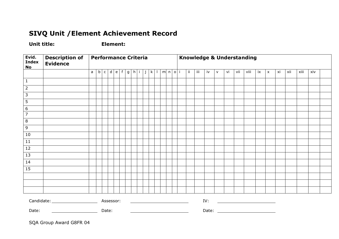### **SIVQ Unit /Element Achievement Record**

**Unit title: Element:**

| Evid.<br><b>Index</b><br><b>No</b> | <b>Description of</b><br><b>Evidence</b>                                                                             |              | <b>Performance Criteria</b> |                    |       |                   |  |  | Knowledge & Understanding          |   |                |     |       |                                                                                                                                                                                                                                      |               |     |    |   |    |     |      |    |                           |    |     |      |     |  |
|------------------------------------|----------------------------------------------------------------------------------------------------------------------|--------------|-----------------------------|--------------------|-------|-------------------|--|--|------------------------------------|---|----------------|-----|-------|--------------------------------------------------------------------------------------------------------------------------------------------------------------------------------------------------------------------------------------|---------------|-----|----|---|----|-----|------|----|---------------------------|----|-----|------|-----|--|
|                                    |                                                                                                                      | $\mathsf{a}$ |                             | $\overline{b}$   c |       | $d \mid e \mid f$ |  |  | $ g h $ i $\overline{\phantom{a}}$ | j | $k \mid \cdot$ | m n | $o$ i |                                                                                                                                                                                                                                      | $\mathbf{ii}$ | iii | iv | v | vi | vii | viii | ix | $\boldsymbol{\mathsf{x}}$ | xi | xii | xiii | xiv |  |
| $\overline{1}$                     |                                                                                                                      |              |                             |                    |       |                   |  |  |                                    |   |                |     |       |                                                                                                                                                                                                                                      |               |     |    |   |    |     |      |    |                           |    |     |      |     |  |
| $\overline{2}$                     |                                                                                                                      |              |                             |                    |       |                   |  |  |                                    |   |                |     |       |                                                                                                                                                                                                                                      |               |     |    |   |    |     |      |    |                           |    |     |      |     |  |
| $\overline{3}$                     |                                                                                                                      |              |                             |                    |       |                   |  |  |                                    |   |                |     |       |                                                                                                                                                                                                                                      |               |     |    |   |    |     |      |    |                           |    |     |      |     |  |
| $\overline{5}$                     |                                                                                                                      |              |                             |                    |       |                   |  |  |                                    |   |                |     |       |                                                                                                                                                                                                                                      |               |     |    |   |    |     |      |    |                           |    |     |      |     |  |
| $\frac{6}{7}$                      |                                                                                                                      |              |                             |                    |       |                   |  |  |                                    |   |                |     |       |                                                                                                                                                                                                                                      |               |     |    |   |    |     |      |    |                           |    |     |      |     |  |
|                                    |                                                                                                                      |              |                             |                    |       |                   |  |  |                                    |   |                |     |       |                                                                                                                                                                                                                                      |               |     |    |   |    |     |      |    |                           |    |     |      |     |  |
| $\circ$                            |                                                                                                                      |              |                             |                    |       |                   |  |  |                                    |   |                |     |       |                                                                                                                                                                                                                                      |               |     |    |   |    |     |      |    |                           |    |     |      |     |  |
| $\overline{9}$                     |                                                                                                                      |              |                             |                    |       |                   |  |  |                                    |   |                |     |       |                                                                                                                                                                                                                                      |               |     |    |   |    |     |      |    |                           |    |     |      |     |  |
| 10                                 |                                                                                                                      |              |                             |                    |       |                   |  |  |                                    |   |                |     |       |                                                                                                                                                                                                                                      |               |     |    |   |    |     |      |    |                           |    |     |      |     |  |
| 11                                 |                                                                                                                      |              |                             |                    |       |                   |  |  |                                    |   |                |     |       |                                                                                                                                                                                                                                      |               |     |    |   |    |     |      |    |                           |    |     |      |     |  |
| 12                                 |                                                                                                                      |              |                             |                    |       |                   |  |  |                                    |   |                |     |       |                                                                                                                                                                                                                                      |               |     |    |   |    |     |      |    |                           |    |     |      |     |  |
| 13                                 |                                                                                                                      |              |                             |                    |       |                   |  |  |                                    |   |                |     |       |                                                                                                                                                                                                                                      |               |     |    |   |    |     |      |    |                           |    |     |      |     |  |
| 14                                 |                                                                                                                      |              |                             |                    |       |                   |  |  |                                    |   |                |     |       |                                                                                                                                                                                                                                      |               |     |    |   |    |     |      |    |                           |    |     |      |     |  |
| 15                                 |                                                                                                                      |              |                             |                    |       |                   |  |  |                                    |   |                |     |       |                                                                                                                                                                                                                                      |               |     |    |   |    |     |      |    |                           |    |     |      |     |  |
|                                    |                                                                                                                      |              |                             |                    |       |                   |  |  |                                    |   |                |     |       |                                                                                                                                                                                                                                      |               |     |    |   |    |     |      |    |                           |    |     |      |     |  |
|                                    |                                                                                                                      |              |                             |                    |       |                   |  |  |                                    |   |                |     |       |                                                                                                                                                                                                                                      |               |     |    |   |    |     |      |    |                           |    |     |      |     |  |
|                                    |                                                                                                                      |              |                             |                    |       |                   |  |  |                                    |   |                |     |       |                                                                                                                                                                                                                                      |               |     |    |   |    |     |      |    |                           |    |     |      |     |  |
|                                    |                                                                                                                      |              |                             |                    |       |                   |  |  |                                    |   |                |     |       |                                                                                                                                                                                                                                      |               |     |    |   |    |     |      |    |                           |    |     |      |     |  |
| Date:                              | <u> 1980 - Andrea Britain, politik eta politik eta politik eta politik eta politik eta politik eta politik eta p</u> |              |                             |                    | Date: |                   |  |  |                                    |   |                |     |       | <u> The Communication of the Communication of the Communication of the Communication of the Communication of the Communication of the Communication of the Communication of the Communication of the Communication of the Commun</u> |               |     |    |   |    |     |      |    |                           |    |     |      |     |  |

SQA Group Award G8FR 04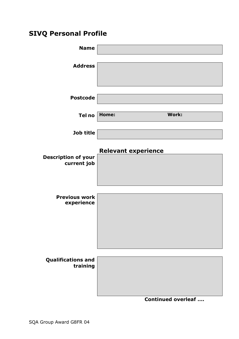### **SIVQ Personal Profile**

| <b>Name</b>                               |                            |                            |
|-------------------------------------------|----------------------------|----------------------------|
| <b>Address</b>                            |                            |                            |
| <b>Postcode</b>                           |                            |                            |
| Tel no                                    | Home:                      | Work:                      |
| Job title                                 |                            |                            |
| <b>Description of your</b><br>current job | <b>Relevant experience</b> |                            |
| <b>Previous work</b><br>experience        |                            |                            |
| <b>Qualifications and</b><br>training     |                            |                            |
|                                           |                            | <b>Continued overleaf </b> |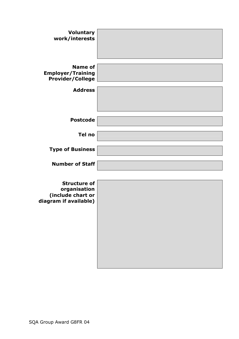| <b>Voluntary</b><br>work/interests                                                |  |
|-----------------------------------------------------------------------------------|--|
| <b>Name of</b><br><b>Employer/Training</b><br><b>Provider/College</b>             |  |
| <b>Address</b>                                                                    |  |
| <b>Postcode</b>                                                                   |  |
| Tel no                                                                            |  |
| <b>Type of Business</b>                                                           |  |
| <b>Number of Staff</b>                                                            |  |
| <b>Structure of</b><br>organisation<br>(include chart or<br>diagram if available) |  |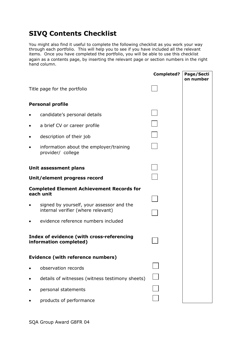### **SIVQ Contents Checklist**

You might also find it useful to complete the following checklist as you work your way through each portfolio. This will help you to see if you have included all the relevant items. Once you have completed the portfolio, you will be able to use this checklist again as a contents page, by inserting the relevant page or section numbers in the right hand column.

|   |                                                                                 | <b>Completed?</b> | Page/Secti<br>on number |
|---|---------------------------------------------------------------------------------|-------------------|-------------------------|
|   | Title page for the portfolio                                                    |                   |                         |
|   | <b>Personal profile</b>                                                         |                   |                         |
|   | candidate's personal details                                                    |                   |                         |
| ٠ | a brief CV or career profile                                                    |                   |                         |
|   | description of their job                                                        |                   |                         |
|   | information about the employer/training<br>provider/ college                    |                   |                         |
|   | Unit assessment plans                                                           |                   |                         |
|   | Unit/element progress record                                                    |                   |                         |
|   | <b>Completed Element Achievement Records for</b><br>each unit                   |                   |                         |
|   | signed by yourself, your assessor and the<br>internal verifier (where relevant) |                   |                         |
|   | evidence reference numbers included                                             |                   |                         |
|   | Index of evidence (with cross-referencing<br>information completed)             |                   |                         |
|   | <b>Evidence (with reference numbers)</b>                                        |                   |                         |
|   | observation records                                                             |                   |                         |
|   | details of witnesses (witness testimony sheets)                                 |                   |                         |
|   | personal statements                                                             |                   |                         |
|   | products of performance                                                         |                   |                         |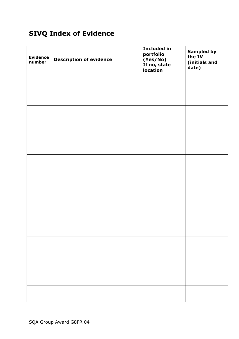### **SIVQ Index of Evidence**

| <b>Evidence</b><br>number | <b>Description of evidence</b> | <b>Included in</b><br>portfolio<br>(Yes/No)<br>If no, state<br><b>location</b> | <b>Sampled by</b><br>the IV<br>(initials and<br>date) |
|---------------------------|--------------------------------|--------------------------------------------------------------------------------|-------------------------------------------------------|
|                           |                                |                                                                                |                                                       |
|                           |                                |                                                                                |                                                       |
|                           |                                |                                                                                |                                                       |
|                           |                                |                                                                                |                                                       |
|                           |                                |                                                                                |                                                       |
|                           |                                |                                                                                |                                                       |
|                           |                                |                                                                                |                                                       |
|                           |                                |                                                                                |                                                       |
|                           |                                |                                                                                |                                                       |
|                           |                                |                                                                                |                                                       |
|                           |                                |                                                                                |                                                       |
|                           |                                |                                                                                |                                                       |
|                           |                                |                                                                                |                                                       |
|                           |                                |                                                                                |                                                       |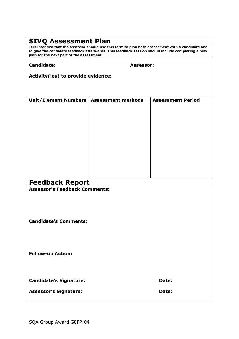# **SIVQ Assessment Plan It is intended that the assessor should use this form to plan both assessment with a candidate and to give the candidate feedback afterwards. This feedback session should include completing a new plan for the next part of the assessment. Candidate: Assessor: Activity(ies) to provide evidence: Unit/Element Numbers Assessment methods Assessment Period Feedback Report Assessor's Feedback Comments: Candidate's Comments: Follow-up Action: Candidate's Signature: Date:** Assessor's Signature: **Date: Date: Date: Date:**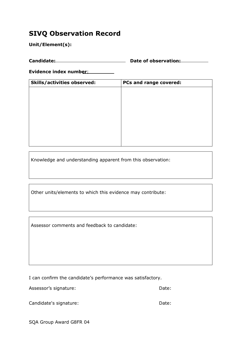### **SIVQ Observation Record**

**Unit/Element(s):**

**Candidate: Date of observation:**

**Evidence index number**:

| <b>Skills/activities observed:</b> | PCs and range covered: |
|------------------------------------|------------------------|
|                                    |                        |
|                                    |                        |
|                                    |                        |
|                                    |                        |
|                                    |                        |
|                                    |                        |
|                                    |                        |
|                                    |                        |

Knowledge and understanding apparent from this observation:

Other units/elements to which this evidence may contribute:

Assessor comments and feedback to candidate:

I can confirm the candidate's performance was satisfactory.

Assessor's signature: Date: Date: Date:

Candidate's signature: Date: Date: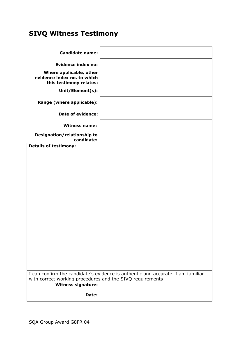### **SIVQ Witness Testimony**

| <b>Candidate name:</b>                                                            |                                                                                 |
|-----------------------------------------------------------------------------------|---------------------------------------------------------------------------------|
| <b>Evidence index no:</b>                                                         |                                                                                 |
| Where applicable, other<br>evidence index no. to which<br>this testimony relates: |                                                                                 |
| Unit/Element(s):                                                                  |                                                                                 |
| Range (where applicable):                                                         |                                                                                 |
| Date of evidence:                                                                 |                                                                                 |
| <b>Witness name:</b>                                                              |                                                                                 |
| Designation/relationship to<br>candidate:                                         |                                                                                 |
| <b>Details of testimony:</b>                                                      |                                                                                 |
|                                                                                   |                                                                                 |
| with correct working procedures and the SIVQ requirements                         | I can confirm the candidate's evidence is authentic and accurate. I am familiar |
| <b>Witness signature:</b>                                                         |                                                                                 |
| Date:                                                                             |                                                                                 |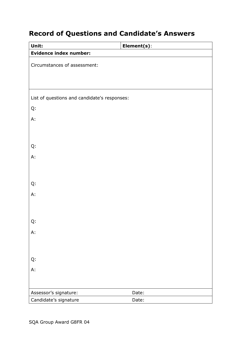### **Record of Questions and Candidate's Answers**

| Unit:                                        | Element(s): |
|----------------------------------------------|-------------|
| <b>Evidence index number:</b>                |             |
| Circumstances of assessment:                 |             |
|                                              |             |
|                                              |             |
|                                              |             |
| List of questions and candidate's responses: |             |
| Q:                                           |             |
| A:                                           |             |
|                                              |             |
|                                              |             |
| Q:                                           |             |
| A:                                           |             |
|                                              |             |
|                                              |             |
| Q:                                           |             |
| A:                                           |             |
|                                              |             |
|                                              |             |
| Q:                                           |             |
| А:                                           |             |
|                                              |             |
|                                              |             |
| Q:                                           |             |
| Α.                                           |             |
|                                              |             |
| Assessor's signature:                        | Date:       |
| Candidate's signature                        | Date:       |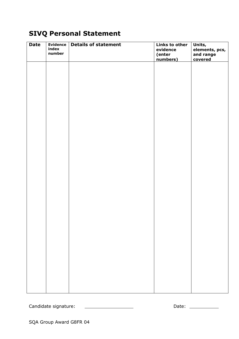### **SIVQ Personal Statement**

| <b>Date</b> | <b>Evidence</b><br>index<br>number | <b>Details of statement</b> | <b>Links to other</b><br>evidence<br>(enter<br>numbers) | Units,<br>elements, pcs,<br>and range<br>covered |
|-------------|------------------------------------|-----------------------------|---------------------------------------------------------|--------------------------------------------------|
|             |                                    |                             |                                                         |                                                  |
|             |                                    |                             |                                                         |                                                  |
|             |                                    |                             |                                                         |                                                  |
|             |                                    |                             |                                                         |                                                  |
|             |                                    |                             |                                                         |                                                  |
|             |                                    |                             |                                                         |                                                  |
|             |                                    |                             |                                                         |                                                  |
|             |                                    |                             |                                                         |                                                  |
|             |                                    |                             |                                                         |                                                  |
|             |                                    |                             |                                                         |                                                  |
|             |                                    |                             |                                                         |                                                  |

Candidate signature: Date: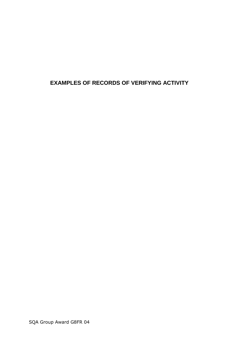### **EXAMPLES OF RECORDS OF VERIFYING ACTIVITY**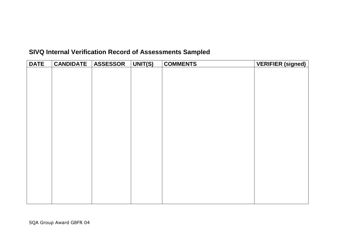### **SIVQ Internal Verification Record of Assessments Sampled**

| <b>DATE</b> | <b>CANDIDATE</b> | <b>ASSESSOR</b> | UNIT(S) | <b>COMMENTS</b> | <b>VERIFIER (signed)</b> |
|-------------|------------------|-----------------|---------|-----------------|--------------------------|
|             |                  |                 |         |                 |                          |
|             |                  |                 |         |                 |                          |
|             |                  |                 |         |                 |                          |
|             |                  |                 |         |                 |                          |
|             |                  |                 |         |                 |                          |
|             |                  |                 |         |                 |                          |
|             |                  |                 |         |                 |                          |
|             |                  |                 |         |                 |                          |
|             |                  |                 |         |                 |                          |
|             |                  |                 |         |                 |                          |
|             |                  |                 |         |                 |                          |
|             |                  |                 |         |                 |                          |
|             |                  |                 |         |                 |                          |
|             |                  |                 |         |                 |                          |
|             |                  |                 |         |                 |                          |
|             |                  |                 |         |                 |                          |
|             |                  |                 |         |                 |                          |
|             |                  |                 |         |                 |                          |
|             |                  |                 |         |                 |                          |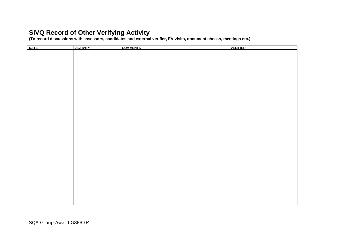### **SIVQ Record of Other Verifying Activity**

**(To record discussions with assessors, candidates and external verifier, EV visits, document checks, meetings etc.)**

| <b>DATE</b><br><b>ACTIVITY</b><br><b>COMMENTS</b><br><b>VERIFIER</b> |  |
|----------------------------------------------------------------------|--|
|                                                                      |  |
|                                                                      |  |
|                                                                      |  |
|                                                                      |  |
|                                                                      |  |
|                                                                      |  |
|                                                                      |  |
|                                                                      |  |
|                                                                      |  |
|                                                                      |  |
|                                                                      |  |
|                                                                      |  |
|                                                                      |  |
|                                                                      |  |
|                                                                      |  |
|                                                                      |  |
|                                                                      |  |
|                                                                      |  |
|                                                                      |  |
|                                                                      |  |
|                                                                      |  |
|                                                                      |  |
|                                                                      |  |
|                                                                      |  |
|                                                                      |  |
|                                                                      |  |
|                                                                      |  |
|                                                                      |  |
|                                                                      |  |
|                                                                      |  |
|                                                                      |  |
|                                                                      |  |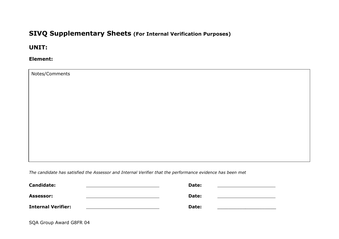### **SIVQ Supplementary Sheets (For Internal Verification Purposes)**

#### **UNIT:**

#### **Element:**

Notes/Comments

*The candidate has satisfied the Assessor and Internal Verifier that the performance evidence has been met*

| <b>Candidate:</b>         | Date: |  |
|---------------------------|-------|--|
| <b>Assessor:</b>          | Date: |  |
| <b>Internal Verifier:</b> | Date: |  |

SQA Group Award G8FR 04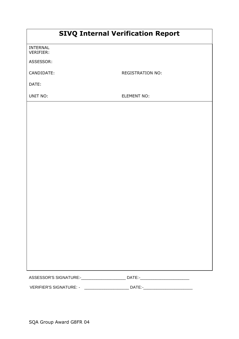| <b>SIVQ Internal Verification Report</b> |  |  |
|------------------------------------------|--|--|
|------------------------------------------|--|--|

INTERNAL VERIFIER:

ASSESSOR:

CANDIDATE: REGISTRATION NO:

DATE:

UNIT NO: ELEMENT NO:

| <b>ASSESSOR'S SIGNATURE:-</b> | <b>DATE</b> |  |
|-------------------------------|-------------|--|
|                               |             |  |

VERIFIER'S SIGNATURE: - \_\_\_\_\_\_\_\_\_\_\_\_\_\_\_\_\_\_\_\_ DATE:-\_\_\_\_\_\_\_\_\_\_\_\_\_\_\_\_\_\_\_\_\_\_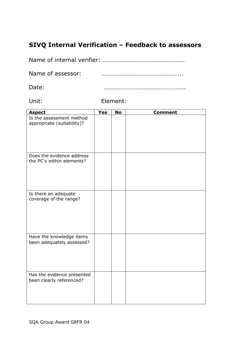### **SIVQ Internal Verification – Feedback to assessors**

Name of internal verifier: ……………………………………………..

Name of assessor: **with a manufature of assessor: with a manufature of assessor:** 

Date: ……………………………………………..

Unit: Element:

| <b>Aspect</b>                                          | <b>Yes</b> | <b>No</b> | <b>Comment</b> |
|--------------------------------------------------------|------------|-----------|----------------|
| Is the assessment method<br>appropriate (suitability)? |            |           |                |
| Does the evidence address<br>the PC's within elements? |            |           |                |
| Is there an adequate<br>coverage of the range?         |            |           |                |
| Have the knowledge items<br>been adequately assessed?  |            |           |                |
| Has the evidence presented<br>been clearly referenced? |            |           |                |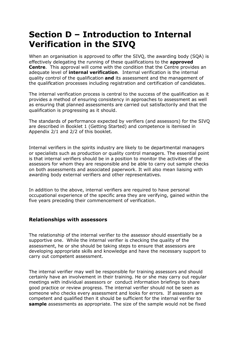## **Section D – Introduction to Internal Verification in the SIVQ**

When an organisation is approved to offer the SIVQ, the awarding body (SQA) is effectively delegating the running of these qualifications to the **approved Centre**. This approval will come with the condition that the Centre provides an adequate level of **internal verification**. Internal verification is the internal quality control of the qualification **and** its assessment and the management of the qualification processes including registration and certification of candidates.

The internal verification process is central to the success of the qualification as it provides a method of ensuring consistency in approaches to assessment as well as ensuring that planned assessments are carried out satisfactorily and that the qualification is progressing as it should.

The standards of performance expected by verifiers (and assessors) for the SIVQ are described in Booklet 1 (Getting Started) and competence is itemised in Appendix 2/1 and 2/2 of this booklet.

Internal verifiers in the spirits industry are likely to be departmental managers or specialists such as production or quality control managers. The essential point is that internal verifiers should be in a position to monitor the activities of the assessors for whom they are responsible and be able to carry out sample checks on both assessments and associated paperwork. It will also mean liaising with awarding body external verifiers and other representatives.

In addition to the above, internal verifiers are required to have personal occupational experience of the specific area they are verifying, gained within the five years preceding their commencement of verification.

#### **Relationships with assessors**

The relationship of the internal verifier to the assessor should essentially be a supportive one. While the internal verifier is checking the quality of the assessment, he or she should be taking steps to ensure that assessors are developing appropriate skills and knowledge and have the necessary support to carry out competent assessment.

The internal verifier may well be responsible for training assessors and should certainly have an involvement in their training. He or she may carry out regular meetings with individual assessors or conduct information briefings to share good practice or review progress. The internal verifier should not be seen as someone who checks every assessment and looks for errors. If assessors are competent and qualified then it should be sufficient for the internal verifier to **sample** assessments as appropriate. The size of the sample would not be fixed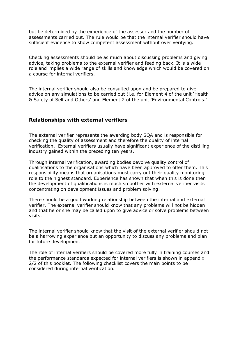but be determined by the experience of the assessor and the number of assessments carried out. The rule would be that the internal verifier should have sufficient evidence to show competent assessment without over verifying.

Checking assessments should be as much about discussing problems and giving advice, taking problems to the external verifier and feeding back. It is a wide role and implies a wide range of skills and knowledge which would be covered on a course for internal verifiers.

The internal verifier should also be consulted upon and be prepared to give advice on any simulations to be carried out (i.e. for Element 4 of the unit 'Health & Safety of Self and Others' and Element 2 of the unit 'Environmental Controls.'

#### **Relationships with external verifiers**

The external verifier represents the awarding body SQA and is responsible for checking the quality of assessment and therefore the quality of internal verification. External verifiers usually have significant experience of the distilling industry gained within the preceding ten years.

Through internal verification, awarding bodies devolve quality control of qualifications to the organisations which have been approved to offer them. This responsibility means that organisations must carry out their quality monitoring role to the highest standard. Experience has shown that when this is done then the development of qualifications is much smoother with external verifier visits concentrating on development issues and problem solving.

There should be a good working relationship between the internal and external verifier. The external verifier should know that any problems will not be hidden and that he or she may be called upon to give advice or solve problems between visits.

The internal verifier should know that the visit of the external verifier should not be a harrowing experience but an opportunity to discuss any problems and plan for future development.

The role of internal verifiers should be covered more fully in training courses and the performance standards expected for internal verifiers is shown in appendix 2/2 of this booklet. The following checklist covers the main points to be considered during internal verification.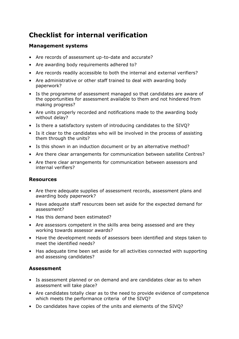### **Checklist for internal verification**

#### **Management systems**

- Are records of assessment up-to-date and accurate?
- Are awarding body requirements adhered to?
- Are records readily accessible to both the internal and external verifiers?
- Are administrative or other staff trained to deal with awarding body paperwork?
- Is the programme of assessment managed so that candidates are aware of the opportunities for assessment available to them and not hindered from making progress?
- Are units properly recorded and notifications made to the awarding body without delay?
- Is there a satisfactory system of introducing candidates to the SIVQ?
- Is it clear to the candidates who will be involved in the process of assisting them through the units?
- Is this shown in an induction document or by an alternative method?
- Are there clear arrangements for communication between satellite Centres?
- Are there clear arrangements for communication between assessors and internal verifiers?

#### **Resources**

- Are there adequate supplies of assessment records, assessment plans and awarding body paperwork?
- Have adequate staff resources been set aside for the expected demand for assessment?
- Has this demand been estimated?
- Are assessors competent in the skills area being assessed and are they working towards assessor awards?
- Have the development needs of assessors been identified and steps taken to meet the identified needs?
- Has adequate time been set aside for all activities connected with supporting and assessing candidates?

#### **Assessment**

- Is assessment planned or on demand and are candidates clear as to when assessment will take place?
- Are candidates totally clear as to the need to provide evidence of competence which meets the performance criteria of the SIVQ?
- Do candidates have copies of the units and elements of the SIVQ?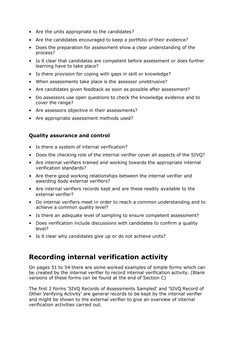- Are the units appropriate to the candidates?
- Are the candidates encouraged to keep a portfolio of their evidence?
- Does the preparation for assessment show a clear understanding of the process?
- Is it clear that candidates are competent before assessment or does further learning have to take place?
- Is there provision for coping with gaps in skill or knowledge?
- When assessments take place is the assessor unobtrusive?
- Are candidates given feedback as soon as possible after assessment?
- Do assessors use open questions to check the knowledge evidence and to cover the range?
- Are assessors objective in their assessments?
- Are appropriate assessment methods used?

#### **Quality assurance and control**

- Is there a system of internal verification?
- Does the checking role of the internal verifier cover all aspects of the SIVQ?
- Are internal verifiers trained and working towards the appropriate internal verification standards?
- Are there good working relationships between the internal verifier and awarding body external verifiers?
- Are internal verifiers records kept and are these readily available to the external verifier?
- Do internal verifiers meet in order to reach a common understanding and to achieve a common quality level?
- Is there an adequate level of sampling to ensure competent assessment?
- Does verification include discussions with candidates to confirm a quality level?
- Is it clear why candidates give up or do not achieve units?

### **Recording internal verification activity**

On pages 51 to 54 there are some worked examples of simple forms which can be created by the internal verifier to record internal verification activity. (Blank versions of these forms can be found at the end of Section C)

The first 2 forms 'SIVQ Records of Assessments Sampled' and 'SIVQ Record of Other Verifying Activity' are general records to be kept by the internal verifier and might be shown to the external verifier to give an overview of internal verification activities carried out.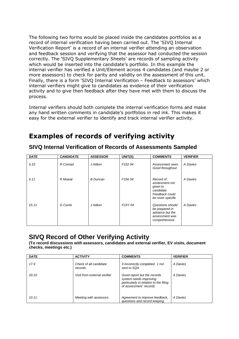The following two forms would be placed inside the candidates portfolios as a record of internal verification having been carried out. The 'SIVQ Internal Verification Report' is a record of an internal verifier attending an observation and feedback session and verifying that the assessor had conducted the session correctly. The 'SIVQ Supplementary Sheets' are records of sampling activity which would be inserted into the candidate's portfolio. In this example the internal verifier has verified a Unit/Element across 4 candidates (and maybe 2 or more assessors) to check for parity and validity on the assessment of this unit. Finally, there is a form 'SIVQ Internal Verification – Feedback to assessors' which internal verifiers might give to candidates as evidence of their verification activity and to give then feedback after they have met with them to discuss the process.

Internal verifiers should both complete the internal verification forms and make any hand written comments in candidate's portfolios in red ink. This makes it easy for the external verifier to identify and track internal verifier activity.

### **Examples of records of verifying activity**

| <b>DATE</b> | <b>CANDIDATE</b> | <b>ASSESSOR</b> | UNIT(S)              | <b>COMMENTS</b>                                                                             | <b>VERIFIER</b> |
|-------------|------------------|-----------------|----------------------|---------------------------------------------------------------------------------------------|-----------------|
| 5.10        | R Conrad         | J Aitken        | F <sub>152</sub> 04  | Assessment seen.<br>Good throughout                                                         | A Davies        |
| 6.11        | R Mowat          | <b>B</b> Duncan | F <sub>156</sub> 04  | Record of<br>assessment not<br>given to<br>candidate.<br>Feedback could<br>be more specific | A Davies        |
| 15.11       | G Currie         | J Aitken        | F <sub>15</sub> Y 04 | Questions should<br>be prepared in<br>advance but the<br>assessment was<br>comprehensive    | A Davies        |

**SIVQ Internal Verification of Records of Assessments Sampled**

### **SIVQ Record of Other Verifying Activity**

**(To record discussions with assessors, candidates and external verifier, EV visits, document checks, meetings etc.)**

| <b>DATE</b> | <b>ACTIVITY</b>                   | <b>COMMENTS</b>                                                                                                          | <b>VERIFIER</b> |
|-------------|-----------------------------------|--------------------------------------------------------------------------------------------------------------------------|-----------------|
| 17.9        | Check of all candidate<br>records | 3 incorrectly completed. 1 not<br>sent to SQA                                                                            | A Davies        |
| 20.10       | Visit from external verifier      | Good report but the records<br>system needs improving<br>particularly in relation to the filing<br>of assessment records | A Davies        |
| 10.11       | Meeting with assessors            | Agreement to improve feedback,<br>questions and record keeping.                                                          | A Davies        |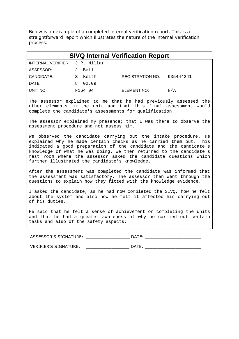Below is an example of a completed internal verification report. This is a straightforward report which illustrates the nature of the internal verification process:

| <b>SIVQ Internal Verification Report</b> |          |                         |           |  |
|------------------------------------------|----------|-------------------------|-----------|--|
| INTERNAL VERIFIER: J.P. Millar           |          |                         |           |  |
| ASSESSOR:                                | J. Bell  |                         |           |  |
| CANDIDATE:                               | S. Keith | <b>REGISTRATION NO:</b> | 935444241 |  |
| DATE:                                    | 8. 02.09 |                         |           |  |
| UNIT NO:                                 | F164 04  | ELEMENT NO:             | N/A       |  |

The assessor explained to me that he had previously assessed the other elements in the unit and that this final assessment would complete the candidate's assessments for qualification.

The assessor explained my presence; that I was there to observe the assessment procedure and not assess him.

We observed the candidate carrying out the intake procedure. He explained why he made certain checks as he carried them out. This indicated a good preparation of the candidate and the candidate's knowledge of what he was doing. We then returned to the candidate's rest room where the assessor asked the candidate questions which further illustrated the candidate's knowledge.

After the assessment was completed the candidate was informed that the assessment was satisfactory. The assessor then went through the questions to explain how they fitted with the knowledge evidence.

I asked the candidate, as he had now completed the SIVQ, how he felt about the system and also how he felt it affected his carrying out of his duties.

He said that he felt a sense of achievement on completing the units and that he had a greater awareness of why he carried out certain tasks and also of the safety aspects.

ASSESSOR'S SIGNATURE: \_\_\_\_\_\_\_\_\_\_\_\_\_\_\_\_\_\_\_\_\_\_\_\_\_\_\_ DATE: \_\_\_\_\_\_\_\_\_\_\_\_\_\_\_\_\_\_\_\_\_\_\_\_

VERIFIER'S SIGNATURE: \_\_\_\_\_\_\_\_\_\_\_\_\_\_\_\_\_\_\_\_\_ DATE: \_\_\_\_\_\_\_\_\_\_\_\_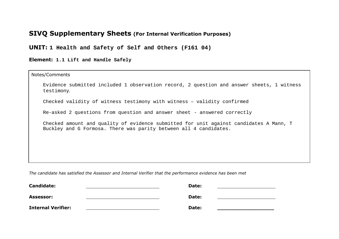### **SIVQ Supplementary Sheets (For Internal Verification Purposes)**

**UNIT: 1 Health and Safety of Self and Others (F161 04)**

**Element: 1.1 Lift and Handle Safely**

 $\mathbf{r}$ 

| Notes/Comments                                                                                                                                              |  |
|-------------------------------------------------------------------------------------------------------------------------------------------------------------|--|
| Evidence submitted included 1 observation record, 2 question and answer sheets, 1 witness<br>testimony.                                                     |  |
| Checked validity of witness testimony with witness - validity confirmed                                                                                     |  |
| Re-asked 2 questions from question and answer sheet - answered correctly                                                                                    |  |
| Checked amount and quality of evidence submitted for unit against candidates A Mann, T<br>Buckley and G Formosa. There was parity between all 4 candidates. |  |
|                                                                                                                                                             |  |
|                                                                                                                                                             |  |
|                                                                                                                                                             |  |

*The candidate has satisfied the Assessor and Internal Verifier that the performance evidence has been met*

| <b>Candidate:</b>         | Date: |  |
|---------------------------|-------|--|
| <b>Assessor:</b>          | Date: |  |
| <b>Internal Verifier:</b> | Date: |  |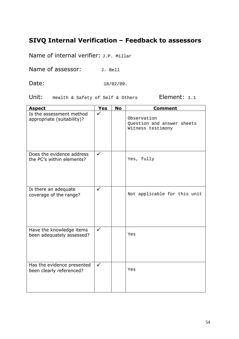### **SIVQ Internal Verification – Feedback to assessors**

Name of internal verifier: J.P. Millar

Name of assessor:  $J.$  Bell

Date: 18/02/09.

Unit: Health & Safety of Self & Others Element: 1.1

| <b>Aspect</b>                                          | <b>Yes</b>   | <b>No</b> | <b>Comment</b>                                                 |
|--------------------------------------------------------|--------------|-----------|----------------------------------------------------------------|
| Is the assessment method<br>appropriate (suitability)? | ✓            |           | Observation<br>Question and answer sheets<br>Witness testimony |
| Does the evidence address<br>the PC's within elements? | $\checkmark$ |           | Yes, fully                                                     |
| Is there an adequate<br>coverage of the range?         | $\checkmark$ |           | Not applicable for this unit                                   |
| Have the knowledge items<br>been adequately assessed?  | $\checkmark$ |           | Yes                                                            |
| Has the evidence presented<br>been clearly referenced? | $\checkmark$ |           | Yes                                                            |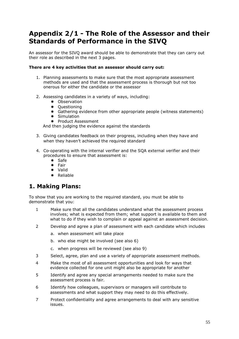### **Appendix 2/1 - The Role of the Assessor and their Standards of Performance in the SIVQ**

An assessor for the SIVQ award should be able to demonstrate that they can carry out their role as described in the next 3 pages.

#### **There are 4 key activities that an assessor should carry out:**

- 1. Planning assessments to make sure that the most appropriate assessment methods are used and that the assessment process is thorough but not too onerous for either the candidate or the assessor
- 2. Assessing candidates in a variety of ways, including:
	- \* Observation
	- \* Questioning
	- Gathering evidence from other appropriate people (witness statements)
	- Simulation
	- \* Product Assessment

And then judging the evidence against the standards

- 3. Giving candidates feedback on their progress, including when they have and when they haven't achieved the required standard
- 4. Co-operating with the internal verifier and the SQA external verifier and their procedures to ensure that assessment is:
	- \* Safe
	- Fair
	- Valid
	- \* Reliable

### **1. Making Plans:**

To show that you are working to the required standard, you must be able to demonstrate that you:

- 1 Make sure that all the candidates understand what the assessment process involves; what is expected from them; what support is available to them and what to do if they wish to complain or appeal against an assessment decision.
- 2 Develop and agree a plan of assessment with each candidate which includes
	- a. when assessment will take place
	- b. who else might be involved (see also 6)
	- c. when progress will be reviewed (see also 9)
- 3 Select, agree, plan and use a variety of appropriate assessment methods.
- 4 Make the most of all assessment opportunities and look for ways that evidence collected for one unit might also be appropriate for another
- 5 Identify and agree any special arrangements needed to make sure the assessment process is fair.
- 6 Identify how colleagues, supervisors or managers will contribute to assessments and what support they may need to do this effectively.
- 7 Protect confidentiality and agree arrangements to deal with any sensitive issues.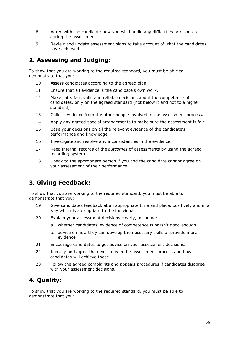- 8 Agree with the candidate how you will handle any difficulties or disputes during the assessment.
- 9 Review and update assessment plans to take account of what the candidates have achieved.

#### **2. Assessing and Judging:**

To show that you are working to the required standard, you must be able to demonstrate that you:

- 10 Assess candidates according to the agreed plan.
- 11 Ensure that all evidence is the candidate's own work.
- 12 Make safe, fair, valid and reliable decisions about the competence of candidates, only on the agreed standard (not below it and not to a higher standard)
- 13 Collect evidence from the other people involved in the assessment process.
- 14 Apply any agreed special arrangements to make sure the assessment is fair.
- 15 Base your decisions on all the relevant evidence of the candidate's performance and knowledge.
- 16 Investigate and resolve any inconsistencies in the evidence.
- 17 Keep internal records of the *outcomes* of assessments by using the agreed recording system.
- 18 Speak to the appropriate person if you and the candidate cannot agree on your assessment of their performance.

### **3. Giving Feedback:**

To show that you are working to the required standard, you must be able to demonstrate that you:

- 19 Give candidates feedback at an appropriate time and place, positively and in a way which is appropriate to the individual
- 20 Explain your assessment decisions clearly, including:
	- a. whether candidates' evidence of competence is or isn't good enough.
	- b. advice on how they can develop the necessary skills or provide more evidence
- 21 Encourage candidates to get advice on your assessment decisions.
- 22 Identify and agree the next steps in the assessment process and how candidates will achieve these.
- 23 Follow the agreed complaints and appeals procedures if candidates disagree with your assessment decisions.

#### **4. Quality:**

To show that you are working to the required standard, you must be able to demonstrate that you: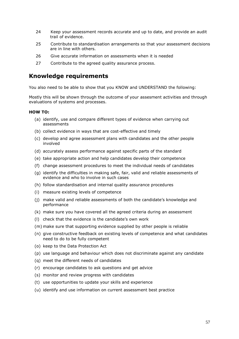- 24 Keep your assessment records accurate and up to date, and provide an audit trail of evidence.
- 25 Contribute to standardisation arrangements so that your assessment decisions are in line with others.
- 26 Give accurate information on assessments when it is needed
- 27 Contribute to the agreed quality assurance process.

#### **Knowledge requirements**

You also need to be able to show that you KNOW and UNDERSTAND the following:

Mostly this will be shown through the outcome of your assesment activities and through evaluations of systems and processes.

#### **HOW TO:**

- (a) identify, use and compare different types of evidence when carrying out assessments
- (b) collect evidence in ways that are cost-effective and timely
- (c) develop and agree assessment plans with candidates and the other people involved
- (d) accurately assess performance against specific parts of the standard
- (e) take appropriate action and help candidates develop their competence
- (f) change assessment procedures to meet the individual needs of candidates
- (g) identify the difficulties in making safe, fair, valid and reliable assessments of evidence and who to involve in such cases
- (h) follow standardisation and internal quality assurance procedures
- (i) measure existing levels of competence
- (j) make valid and reliable assessments of both the candidate's knowledge and performance
- (k) make sure you have covered all the agreed criteria during an assessment
- (l) check that the evidence is the candidate's own work
- (m) make sure that supporting evidence supplied by other people is reliable
- (n) give constructive feedback on existing levels of competence and what candidates need to do to be fully competent
- (o) keep to the Data Protection Act
- (p) use language and behaviour which does not discriminate against any candidate
- (q) meet the different needs of candidates
- (r) encourage candidates to ask questions and get advice
- (s) monitor and review progress with candidates
- (t) use opportunities to update your skills and experience
- (u) identify and use information on current assessment best practice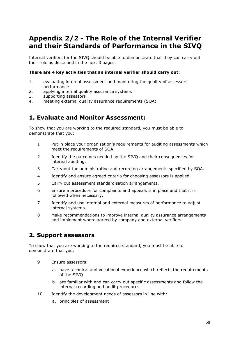### **Appendix 2/2 - The Role of the Internal Verifier and their Standards of Performance in the SIVQ**

Internal verifiers for the SIVQ should be able to demonstrate that they can carry out their role as described in the next 3 pages.

#### **There are 4 key activities that an internal verifier should carry out:**

- 1. evaluating internal assessment and monitoring the quality of assessors' performance
- 2. applying internal quality assurance systems
- 3. supporting assessors
- 4. meeting external quality assurance requirements (SQA)

#### **1. Evaluate and Monitor Assessment:**

To show that you are working to the required standard, you must be able to demonstrate that you:

- 1 Put in place your organisation's requirements for auditing assessments which meet the requirements of SQA.
- 2 Identify the outcomes needed by the SIVQ and their consequences for internal auditing.
- 3 Carry out the administrative and recording arrangements specified by SQA.
- 4 Identify and ensure agreed criteria for choosing assessors is applied.
- 5 Carry out assessment standardisation arrangements.
- 6 Ensure a procedure for complaints and appeals is in place and that it is followed when necessary.
- 7 Identify and use internal and external measures of performance to adjust internal systems.
- 8 Make recommendations to improve internal quality assurance arrangements and implement where agreed by company and external verifiers.

#### **2. Support assessors**

To show that you are working to the required standard, you must be able to demonstrate that you:

- 9 Ensure assessors:
	- a. have technical and vocational experience which reflects the requirements of the SIVQ
	- b. are familiar with and can carry out specific assessments and follow the internal recording and audit procedures.
- 10 Identify the development needs of assessors in line with:
	- a. principles of assessment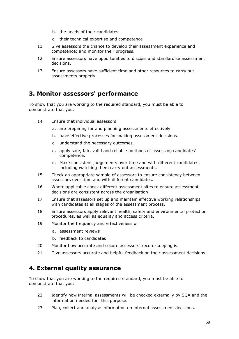- b. the needs of their candidates
- c. their technical expertise and competence
- 11 Give assessors the chance to develop their assessment experience and competence; and monitor their progress.
- 12 Ensure assessors have opportunities to discuss and standardise assessment decisions.
- 13 Ensure assessors have sufficient time and other resources to carry out assessments properly

#### **3. Monitor assessors' performance**

To show that you are working to the required standard, you must be able to demonstrate that you:

- 14 Ensure that individual assessors
	- a. are preparing for and planning assessments effectively.
	- b. have effective processes for making assessment decisions.
	- c. understand the necessary outcomes.
	- d. apply safe, fair, valid and reliable methods of assessing candidates' competence.
	- e. Make consistent judgements over time and with different candidates, including watching them carry out assessments.
- 15 Check an appropriate sample of assessors to ensure consistency between assessors over time and with different candidates.
- 16 Where applicable check different assessment sites to ensure assessment decisions are consistent across the organisation
- 17 Ensure that assessors set up and maintain effective working relationships with candidates at all stages of the assessment process.
- 18 Ensure assessors apply relevant health, safety and environmental protection procedures, as well as equality and access criteria.
- 19 Monitor the frequency and effectiveness of
	- a. assessment reviews
	- b. feedback to candidates
- 20 Monitor how accurate and secure assessors' record-keeping is.
- 21 Give assessors accurate and helpful feedback on their assessment decisions.

#### **4. External quality assurance**

To show that you are working to the required standard, you must be able to demonstrate that you:

- 22 Identify how internal assessments will be checked externally by SQA and the information needed for this purpose.
- 23 Plan, collect and analyse information on internal assessment decisions.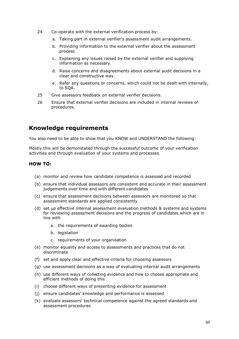- 24 Co-operate with the external verification process by:
	- a. Taking part in external verifier's assessment audit arrangements.
	- b. Providing information to the external verifier about the assessment process
	- c. Explaining any issues raised by the external verifier and supplying information as necessary.
	- d. Raise concerns and disagreements about external audit decisions in a clear and constructive way.
	- e. Refer any questions or concerns, which could not be dealt with internally, to SQA.
- 25 Give assessors feedback on external verifier decisions.
- 26 Ensure that external verifier decisions are included in internal reviews of procedures.

#### **Knowledge requirements**

You also need to be able to show that you KNOW and UNDERSTAND the following:

Mostly this will be demonstated through the successful outcome of your verification activities and through evaluation of your systems and processes.

#### **HOW TO:**

- (a) monitor and review how candidate competence is assessed and recorded
- (b) ensure that individual assessors are consistent and accurate in their assessment judgements over time and with different candidates
- (c) ensure that assessment decisions between assessors are monitored so that assessment standards are applied consistently
- (d) set up effective internal assessment evaluation methods & systems and systems for reviewing assessment decisions and the progress of candidates which are in line with
	- a. the requirements of awarding bodies
	- b. legislation
	- c. requirements of your organisation
- (e) monitor equality and access to assessments and practices that do not discriminate
- (f) set and apply clear and effective criteria for choosing assessors
- (g) use assessment decisions as a way of evaluating internal audit arrangements
- (h) use different ways of collecting evidence and how to choose appropriate and efficient methods of doing this
- (i) choose different ways of presenting evidence for assessment
- (j) ensure candidates' knowledge and performance is assessed
- (k) evaluate assessors' technical competence against the agreed standards and assessment procedures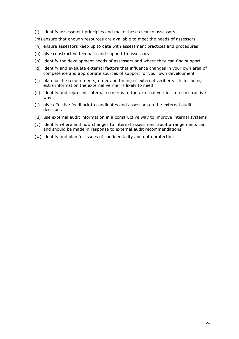- (l) identify assessment principles and make these clear to assessors
- (m) ensure that enough resources are available to meet the needs of assessors
- (n) ensure assessors keep up to date with assessment practices and procedures
- (o) give constructive feedback and support to assessors
- (p) identify the development needs of assessors and where they can find support
- (q) identify and evaluate external factors that influence changes in your own area of competence and appropriate sources of support for your own development
- (r) plan for the requirements, order and timing of external verifier visits including extra information the external verifier is likely to need
- (s) identify and represent internal concerns to the external verifier in a constructive way
- (t) give effective feedback to candidates and assessors on the external audit decisions
- (u) use external audit information in a constructive way to improve internal systems
- (v) identify where and how changes to internal assessment audit arrangements can and should be made in response to external audit recommendations
- (w) identify and plan for issues of confidentiality and data protection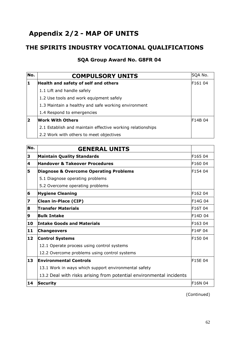### **Appendix 2/2 - MAP OF UNITS**

### **THE SPIRITS INDUSTRY VOCATIONAL QUALIFICATIONS**

#### **SQA Group Award No. G8FR 04**

| No. | <b>COMPULSORY UNITS</b>                                    | SQA No. |
|-----|------------------------------------------------------------|---------|
| 11  | Health and safety of self and others                       | F161 04 |
|     | 1.1 Lift and handle safely                                 |         |
|     | 1.2 Use tools and work equipment safely                    |         |
|     | 1.3 Maintain a healthy and safe working environment        |         |
|     | 1.4 Respond to emergencies                                 |         |
| 2   | <b>Work With Others</b>                                    | F14B 04 |
|     | 2.1 Establish and maintain effective working relationships |         |
|     | 2.2 Work with others to meet objectives                    |         |

| No. | <b>GENERAL UNITS</b>                                                |               |
|-----|---------------------------------------------------------------------|---------------|
| 3   | <b>Maintain Quality Standards</b>                                   | F165 04       |
| 4   | Handover & Takeover Procedures                                      | F160 04       |
| 5   | <b>Diagnose &amp; Overcome Operating Problems</b>                   | F154 04       |
|     | 5.1 Diagnose operating problems                                     |               |
|     | 5.2 Overcome operating problems                                     |               |
| 6   | <b>Hygiene Cleaning</b>                                             | F162 04       |
| 7   | Clean in-Place (CIP)                                                | F14G 04       |
| 8   | <b>Transfer Materials</b>                                           | F16T 04       |
| 9   | <b>Bulk Intake</b>                                                  | F14D 04       |
| 10  | <b>Intake Goods and Materials</b>                                   | F163 04       |
| 11  | <b>Changeovers</b>                                                  | F14F 04       |
| 12  | <b>Control Systems</b>                                              | F150 04       |
|     | 12.1 Operate process using control systems                          |               |
|     | 12.2 Overcome problems using control systems                        |               |
| 13  | <b>Environmental Controls</b>                                       | F15E 04       |
|     | 13.1 Work in ways which support environmental safety                |               |
|     | 13.2 Deal with risks arising from potential environmental incidents |               |
| 14  | Security                                                            | <b>F16N04</b> |

(Continued)